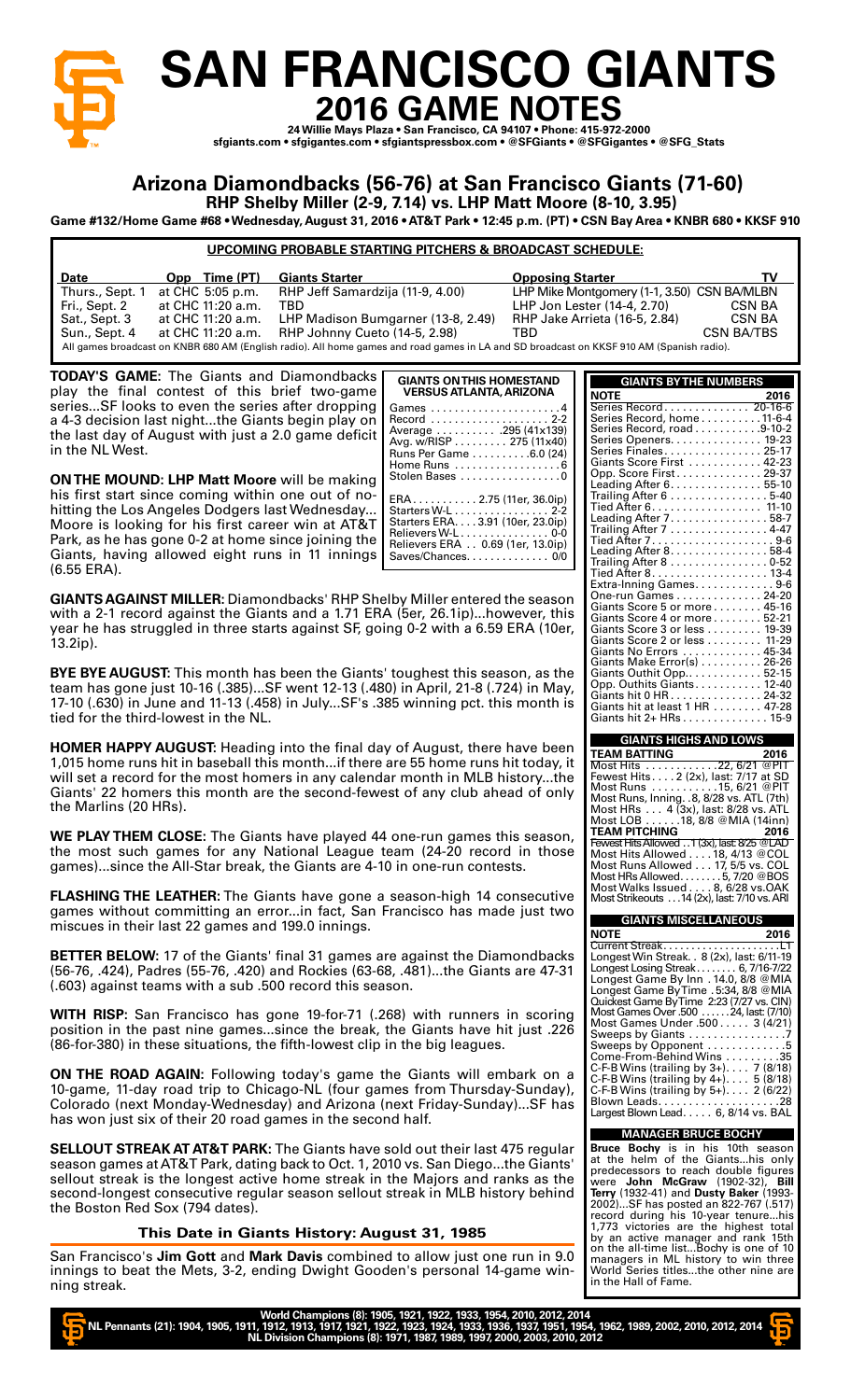

# **SAN FRANCISCO GIANTS 2016 GAME NOTES**

**24 Willie Mays Plaza • San Francisco, CA 94107 • Phone: 415-972-2000 sfgiants.com • sfgigantes.com • sfgiantspressbox.com • @SFGiants • @SFGigantes • @SFG\_Stats**

## **Arizona Diamondbacks (56-76) at San Francisco Giants (71-60)**

**RHP Shelby Miller (2-9, 7.14) vs. LHP Matt Moore (8-10, 3.95)**

**Game #132/Home Game #68 • Wednesday, August 31, 2016 • AT&T Park • 12:45 p.m. (PT) • CSN Bay Area • KNBR 680 • KKSF 910** 

## **UPCOMING PROBABLE STARTING PITCHERS & BROADCAST SCHEDULE:**

| <b>Date</b>     | Opp Time (PT)     | <b>Giants Starter</b>                                                                                                                    | <b>Opposing Starter</b>                     | TV         |
|-----------------|-------------------|------------------------------------------------------------------------------------------------------------------------------------------|---------------------------------------------|------------|
| Thurs., Sept. 1 | at CHC 5:05 p.m.  | RHP Jeff Samardzija (11-9, 4.00)                                                                                                         | LHP Mike Montgomery (1-1, 3.50) CSN BA/MLBN |            |
| Fri., Sept. 2   | at CHC 11:20 a.m. | TBD.                                                                                                                                     | LHP Jon Lester (14-4, 2.70)                 | CSN BA     |
| Sat., Sept. 3   | at CHC 11:20 a.m. | LHP Madison Bumgarner (13-8, 2.49)                                                                                                       | <b>RHP Jake Arrieta (16-5, 2.84)</b>        | CSN BA     |
| Sun., Sept. 4   | at CHC 11:20 a.m. | RHP Johnny Cueto (14-5, 2.98)                                                                                                            | TBD                                         | CSN BA/TBS |
|                 |                   | All games broadcast on KNBR 680 AM (English radio). All home games and road games in LA and SD broadcast on KKSF 910 AM (Spanish radio). |                                             |            |

**TODAY'S GAME:** The Giants and Diamondbacks play the final contest of this brief two-game series...SF looks to even the series after dropping a 4-3 decision last night...the Giants begin play on the last day of August with just a 2.0 game deficit in the NL West.

**ON THE MOUND: LHP Matt Moore** will be making his first start since coming within one out of nohitting the Los Angeles Dodgers last Wednesday... Moore is looking for his first career win at AT&T Park, as he has gone 0-2 at home since joining the Giants, having allowed eight runs in 11 innings (6.55 ERA).

|          | Avg. w/RISP 275 (11x40)<br>Runs Per Game 6.0 (24)<br>Home Runs 6<br>Stolen Bases 0                                                                                                   |
|----------|--------------------------------------------------------------------------------------------------------------------------------------------------------------------------------------|
| Ļ,<br>ŕ. | $ERA \ldots \ldots \ldots 2.75$ (11er, 36.0ip)<br>Starters W-L 2-2<br>Starters ERA. 3.91 (10er, 23.0ip)<br>Relievers W-L0-0<br>Relievers ERA 0.69 (1er, 13.0ip)<br>Saves/Chances 0/0 |

**GIANTS AGAINST MILLER:** Diamondbacks' RHP Shelby Miller entered the season with a 2-1 record against the Giants and a 1.71 ERA (5er, 26.1ip)...however, this year he has struggled in three starts against SF, going 0-2 with a 6.59 ERA (1 13.2ip).

**BYE BYE AUGUST:** This month has been the Giants' toughest this season, as team has gone just 10-16 (.385)...SF went 12-13 (.480) in April, 21-8 (.724) in M 17-10 (.630) in June and 11-13 (.458) in July...SF's .385 winning pct. this mont tied for the third-lowest in the NL.

**HOMER HAPPY AUGUST:** Heading into the final day of August, there have be 1,015 home runs hit in baseball this month...if there are 55 home runs hit toda will set a record for the most homers in any calendar month in MLB history.. Giants' 22 homers this month are the second-fewest of any club ahead of c the Marlins (20 HRs).

WE PLAY THEM CLOSE: The Giants have played 44 one-run games this seas the most such games for any National League team (24-20 record in the games)...since the All-Star break, the Giants are 4-10 in one-run contests.

**FLASHING THE LEATHER:** The Giants have gone a season-high 14 consecut games without committing an error...in fact, San Francisco has made just miscues in their last 22 games and 199.0 innings.

BETTER BELOW: 17 of the Giants' final 31 games are against the Diamondba (56-76, .424), Padres (55-76, .420) and Rockies (63-68, .481)...the Giants are 41 (.603) against teams with a sub .500 record this season.

WITH RISP: San Francisco has gone 19-for-71 (.268) with runners in scor position in the past nine games...since the break, the Giants have hit just .. (86-for-380) in these situations, the fifth-lowest clip in the big leagues.

**ON THE ROAD AGAIN:** Following today's game the Giants will embark on a 10-game, 11-day road trip to Chicago-NL (four games from Thursday-Sunday), Colorado (next Monday-Wednesday) and Arizona (next Friday-Sunday)...SF has won just six of their 20 road games in the second half.

**SELLOUT STREAK AT AT&T PARK:** The Giants have sold out their last 475 reg season games at AT&T Park, dating back to Oct. 1, 2010 vs. San Diego...the Giants sellout streak is the longest active home streak in the Majors and ranks as second-longest consecutive regular season sellout streak in MLB history beh the Boston Red Sox (794 dates).

## **This Date in Giants History: August 31, 1985**

San Francisco's Jim Gott and Mark Davis combined to allow just one run in innings to beat the Mets, 3-2, ending Dwight Gooden's personal 14-game v ning streak.

| and road games in LA and SD broadcast on KKSF 910 AM (Spanish radio). |                                                                               |
|-----------------------------------------------------------------------|-------------------------------------------------------------------------------|
| <b>GIANTS ON THIS HOMESTAND</b>                                       | <b>GIANTS BY THE NUMBERS</b>                                                  |
| <b>VERSUS ATLANTA, ARIZONA</b>                                        | <b>NOTE</b><br>2016                                                           |
|                                                                       | Series Record 20-16-6                                                         |
| Record  2-2                                                           | Series Record, home 11-6-4<br>Series Record, road 9-10-2                      |
| Average  .295 (41x139)<br>Avg. w/RISP 275 (11x40)                     | Series Openers. 19-23                                                         |
| Runs Per Game 6.0 (24)                                                | Series Finales 25-17                                                          |
|                                                                       | Giants Score First  42-23                                                     |
| Stolen Bases 0                                                        | Opp. Score First 29-37                                                        |
|                                                                       | Leading After 6. 55-10<br>Trailing After 6 5-40                               |
| ERA 2.75 (11er, 36.0ip)<br>Starters W-L 2-2                           | Tied After 6. 11-10                                                           |
| Starters ERA. 3.91 (10er, 23.0ip)                                     | Leading After 7. 58-7                                                         |
| Relievers W-L 0-0                                                     | Trailing After 7 4-47                                                         |
| Relievers ERA 0.69 (1er, 13.0ip)                                      |                                                                               |
| Saves/Chances. 0/0                                                    | Leading After 8. 58-4<br>Trailing After 8 0-52                                |
|                                                                       | Tied After 8. 13-4                                                            |
|                                                                       | Extra-Inning Games. 9-6                                                       |
| by Miller entered the season                                          | One-run Games 24-20                                                           |
| Ser, 26.1ip)however, this ا                                           | Giants Score 5 or more 45-16                                                  |
| ng 0-2 with a 6.59 ERA (10er,                                         | Giants Score 4 or more 52-21<br>Giants Score 3 or less 19-39                  |
|                                                                       | Giants Score 2 or less 11-29                                                  |
|                                                                       | Giants No Errors  45-34                                                       |
|                                                                       | Giants Make Error(s) 26-26                                                    |
| toughest this season, as the                                          | Giants Outhit Opp 52-15                                                       |
| )) in April, 21-8 (.724) in May,                                      | Opp. Outhits Giants. 12-40<br>Giants hit 0 HR 24-32                           |
| 5 winning pct. this month is                                          | Giants hit at least 1 HR 47-28                                                |
|                                                                       | Giants hit 2+ HRs 15-9                                                        |
|                                                                       |                                                                               |
| of August, there have been                                            | <b>GIANTS HIGHS AND LOWS</b>                                                  |
| are 55 home runs hit today, it                                        | TEAM BATTING<br>2016                                                          |
|                                                                       | Most Hits 22, 6/21 @PIT<br>Fewest Hits. 2 (2x), last: 7/17 at SD              |
| r month in MLB historythe                                             | Most Runs ..........15, 6/21 @PIT                                             |
| st of any club ahead of only                                          | Most Runs, Inning. .8, 8/28 vs. ATL (7th)                                     |
|                                                                       | Most HRs 4 (3x), last: 8/28 vs. ATL                                           |
|                                                                       | Most LOB 18, 8/8 @ MIA (14inn)                                                |
| one-run games this season,                                            | TEAM PITCHING<br>2016<br>Fewest Hits Allowed 1 (3x), last: 8/25 @LAD          |
| eam (24-20 record in those                                            | Most Hits Allowed 18, 4/13 @COL                                               |
| ) in one-run contests.                                                | Most Runs Allowed 17, 5/5 vs. COL                                             |
|                                                                       | Most HRs Allowed. 5, 7/20 @BOS                                                |
| season-high 14 consecutive                                            | Most Walks Issued 8, 6/28 vs.OAK                                              |
| rancisco has made just two                                            | Most Strikeouts 14 (2x), last: 7/10 vs. ARI                                   |
|                                                                       | <b>GIANTS MISCELLANEOUS</b>                                                   |
|                                                                       | NOTE<br>2016                                                                  |
|                                                                       |                                                                               |
| e against the Diamondbacks                                            | Longest Win Streak. . 8 (2x), last: 6/11-19                                   |
| 3, .481)the Giants are 47-31                                          | Longest Losing Streak 6, //16-//22<br>Longest Game By Inn. 14.0, 8/8 @MIA     |
| .on.                                                                  | Longest Game By Time . 5:34, 8/8 @ MIA                                        |
|                                                                       | Quickest Game By Time 2:23 (7/27 vs. CIN)                                     |
| 68) with runners in scoring                                           | Most Games Over .500  24, last: (7/10)                                        |
| he Giants have hit just .226                                          | Most Games Under .500 3 (4/21)                                                |
| n the big leagues.                                                    | Sweeps by Giants 7<br>Sweeps by Opponent 5                                    |
|                                                                       | $Come-From-Behind Wins$ 35                                                    |
|                                                                       | C-F-B Wins (trailing by $3+$ ) 7 (8/18)                                       |
| ne Giants will embark on a                                            | C-F-B Wins (trailing by $4+$ ) 5 (8/18)                                       |
| nes from Thursday-Sunday),                                            | C-F-B Wins (trailing by 5+). 2 (6/22)                                         |
| ext Friday-Sunday)SF has                                              | Largest Blown Lead 6, 8/14 vs. BAL                                            |
| ıd half.                                                              |                                                                               |
|                                                                       | <b>MANAGER BRUCE BOCHY</b>                                                    |
| old out their last 475 regular،                                       | Bruce Bochy is in his 10th season                                             |
| 10 vs. San Diegothe Giants'                                           | at the helm of the Giantshis only                                             |
| the Majors and ranks as the                                           | predecessors to reach double figures                                          |
| streak in MLB history behind                                          | were John McGraw (1902-32), Bill<br>Terry (1932-41) and Dusty Baker (1993-    |
|                                                                       | 2002)SF has posted an 822-767 (.517)                                          |
|                                                                       | record during his 10-year tenurehis                                           |
| ust 31, 1985                                                          | 1,773 victories are the highest total                                         |
|                                                                       | by an active manager and rank 15th                                            |
| I to allow just one run in 9.0                                        | on the all-time listBochy is one of 10<br>managers in ML history to win three |
| en's personal 14-game win-                                            | World Series titlesthe other nine are                                         |
|                                                                       | in the Hall of Fame.                                                          |

World Champions (8): 1905, 1921, 1922, 1933, 1954, 2010, 2012, 2014<br>NL Pennants (21): 1904, 1905, 1911, 1912, 1913, 1917, 1921, 1922, 1923, 1924, 1933, 1936, 1937, 1951, 1954, 1962, 1989, 2002, 2010, 2012, 2014 **NL Division Champions (8): 1971, 1987, 1989, 1997, 2000, 2003, 2010, 2012**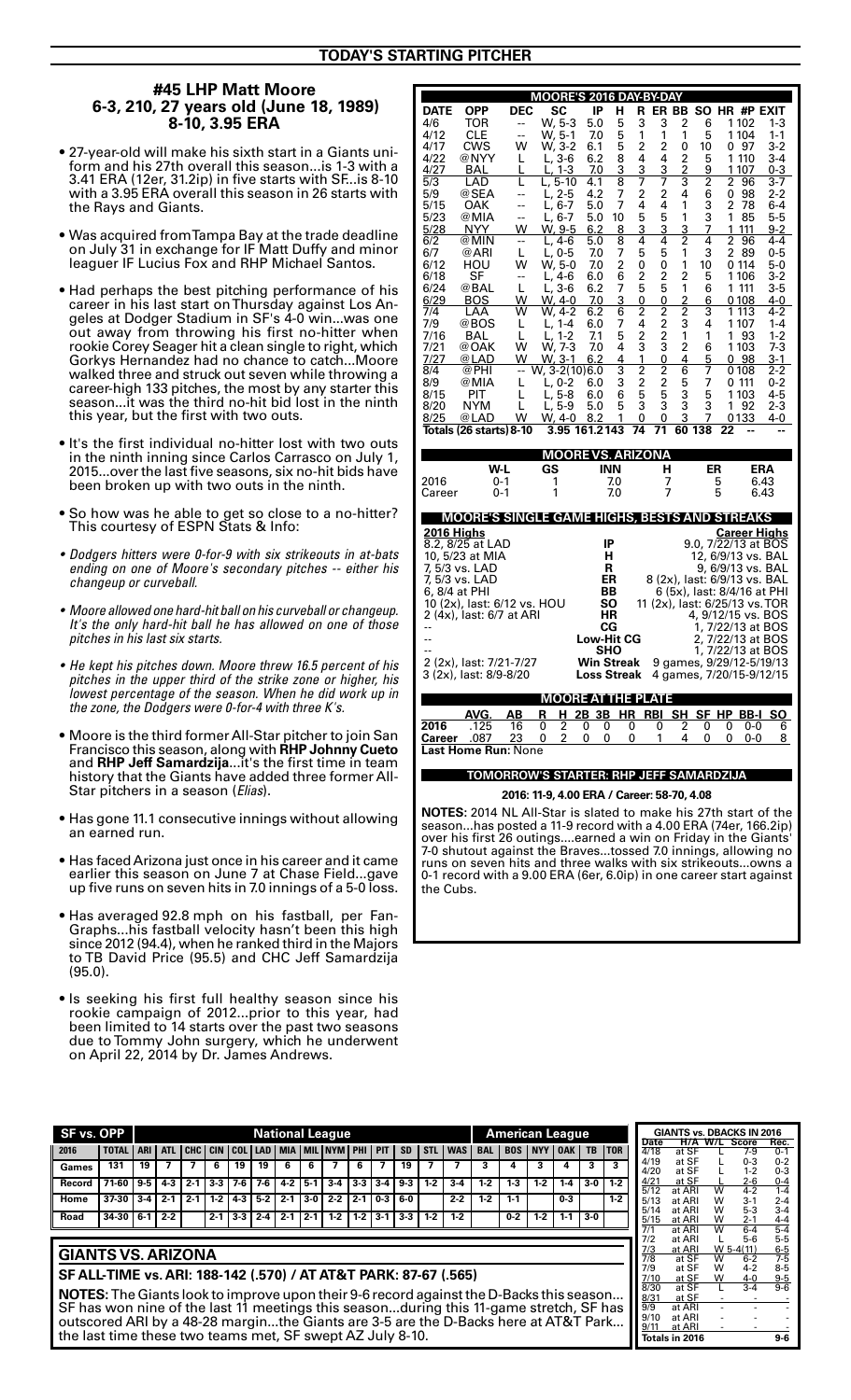## **#45 LHP Matt Moore 6-3, 210, 27 years old (June 18, 1989) 8-10, 3.95 ERA**

- 27-year-old will make his sixth start in a Giants uniform and his 27th overall this season...is 1-3 with a 3.41 ERA (12er, 31.2ip) in five starts with SF...is 8-10 with a 3.95 ERA overall this season in 26 starts with the Rays and Giants.
- $\bullet$  Was acquired from Tampa Bay at the trade deadline on July 31 in exchange for IF Matt Duffy and minor leaguer IF Lucius Fox and RHP Michael Santos.
- Had perhaps the best pitching performance of his career in his last start on Thursday against Los Angeles at Dodger Stadium in SF's 4-0 win...was one out away from throwing his first no-hitter when rookie Corey Seager hit a clean single to right, which Gorkys Hernandez had no chance to catch...Moore walked three and struck out seven while throwing a career-high 133 pitches, the most by any starter this season...it was the third no-hit bid lost in the ninth this year, but the first with two outs.
- It's the first individual no-hitter lost with two outs in the ninth inning since Carlos Carrasco on July 1, 2015...over the last five seasons, six no-hit bids have been broken up with two outs in the ninth.
- So how was he able to get so close to a no-hitter? This courtesy of ESPN Stats & Info:
- Dodgers hitters were 0-for-9 with six strikeouts in at-bats ending on one of Moore's secondary pitches -- either his changeup or curveball.
- Moore allowed one hard-hit ball on his curveball or changeup. It's the only hard-hit ball he has allowed on one of those pitches in his last six starts.
- He kept his pitches down. Moore threw 16.5 percent of his pitches in the upper third of the strike zone or higher, his lowest percentage of the season. When he did work up in the zone, the Dodgers were 0-for-4 with three  $K$ 's.
- $\bullet$  Moore is the third former All-Star pitcher to join San Francisco this season, along with **RHP Johnny Cueto**  and **RHP Jeff Samardzija**...it's the first time in team history that the Giants have added three former All-Star pitchers in a season (Elias).
- Has gone 11.1 consecutive innings without allowing an earned run.
- $\bullet$  Has faced Arizona just once in his career and it came earlier this season on June 7 at Chase Field...gave up five runs on seven hits in 7.0 innings of a 5-0 loss.
- Has averaged 92.8 mph on his fastball, per Fan-Graphs...his fastball velocity hasn't been this high since 2012 (94.4), when he ranked third in the Majors to TB David Price (95.5) and CHC Jeff Samardzija (95.0).
- Is seeking his first full healthy season since his rookie campaign of 2012...prior to this year, had been limited to 14 starts over the past two seasons due to Tommy John surgery, which he underwent on April 22, 2014 by Dr. James Andrews.

| MOORE'S 2016 DAY-BY-DAY<br>ER BB<br>HR #P EXIT |                                              |                          |                                         |                   |            |                |                         |                           |           |         |             |                                |  |
|------------------------------------------------|----------------------------------------------|--------------------------|-----------------------------------------|-------------------|------------|----------------|-------------------------|---------------------------|-----------|---------|-------------|--------------------------------|--|
| <b>DATE</b>                                    | <b>OPP</b>                                   | <b>DEC</b>               | SC                                      | IP                | н          | R              |                         |                           | <b>SO</b> |         |             |                                |  |
| 4/6                                            | TOR                                          | --                       | W, 5-3                                  | 5.0               | 5          | 3              | 3                       | $\overline{2}$            | 6         |         | 1102        | 1-3                            |  |
| 4/12                                           | CLE                                          | $\overline{a}$           | W, 5-1                                  | 7.0               | 5          | 1              | 1                       | 1                         | 5         |         | 1104        | $1 - 1$                        |  |
| 4/17                                           | <b>CWS</b>                                   | W                        | W, 3-2                                  | 6.1               | 5          | 2              | $\overline{c}$          | 0                         | 10        | 0       | 97          | $3-2$                          |  |
| 4/22                                           | @NYY                                         | L                        | L, 3-6                                  | 6.2               | 8          | 4              | 4                       | $\overline{2}$            | 5         | 1       | 110         | 3-4                            |  |
| 4/27                                           | BAL                                          | L                        | 1-3<br>L,                               | 7.0               | 3          | 3              | 3                       | $\overline{2}$            | 9         |         | 1 107       | 0-3                            |  |
| 5/3                                            | LAD                                          | L                        | L, 5-10                                 | 4.1               | 8          | 7              | 7                       | $\overline{\overline{3}}$ | 2         | 2       | 96          | 3-7                            |  |
| 5/9                                            | @SEA                                         | $\overline{a}$           | L, 2-5                                  | 4.2               | 7          | 2              | 2                       | 4                         | 6         | 0       | 98          | 2-2                            |  |
| 5/15                                           | OAK                                          | --                       | L, 6-7                                  | 5.0               | 7          | 4              | 4                       | 1                         | 3         | 2       | 78          | 6-4                            |  |
| 5/23                                           | @MIA                                         | $\overline{a}$           | $L, 6-7$                                | 5.0               | 10         | 5              | 5                       | 1                         | 3         | 1       | 85          | 5-5                            |  |
| 5/28                                           | NYY                                          | W                        | W, 9-5                                  | 6.2               | 8          | 3              | 3                       | 3                         | 7         | 1       | 111         | 9-2                            |  |
| 6/2                                            | @MIN                                         | $\overline{\phantom{a}}$ | $L, 4-6$                                | 5.0               | 8          | 4              | 4                       | $\overline{c}$            | 4         | 2       | 96          | 4-4                            |  |
| 6/7                                            | @ARI                                         | L                        | L, 0-5                                  | 7.0               | 7          | 5              | 5                       | 1                         | 3         | 2       | 89          | 0-5                            |  |
| 6/12                                           | HOU                                          | W                        | W, 5-0                                  | 7.0               | 2          | 0              | 0                       | 1                         | 10        |         | 0 114       | 5-0                            |  |
| 6/18                                           | SF                                           | $\overline{\phantom{a}}$ | $L, 4-6$                                | 6.0               | 6          | $\overline{2}$ | $\overline{c}$          | $\overline{c}$            | 5         |         | 1106        | 3-2                            |  |
| 6/24                                           | @BAL                                         | L                        | $L, 3-6$                                | 6.2               | 7          | 5              | 5                       | 1                         | 6         | 1       | 111         | 3-5                            |  |
| 6/29                                           | BOS                                          | W                        | W, 4-0                                  | 7.0               | 3          | 0              | 0                       | $\overline{2}$            | 6         |         | 0108        | 4-0                            |  |
| 7/4                                            | LAA                                          | w                        | W, 4-2                                  | 6.2               | 6          | 2              | $\overline{2}$          | $\overline{2}$            | 3         | 1       | 113         | 4-2                            |  |
| 7/9                                            | @BOS                                         | L                        | L, 1-4                                  | 6.0               | 7          | 4              | $\overline{\mathbf{c}}$ | 3                         | 4         |         | 1 107       | 1-4                            |  |
| 7/16                                           | <b>BAL</b>                                   | L                        | 1-2<br>L.                               | 7.1               | 5          | 2              | $\overline{2}$          | Ī                         | 1         | 1       | 93          | $1-2$                          |  |
| 7/21                                           | @OAK                                         | w                        | W, 7-3                                  | 7.0               | 4          | 3              | $\bar{3}$               | $\overline{\mathbf{c}}$   | 6         |         | 1103        | 7-3                            |  |
| 7/27                                           | @LAD                                         | W                        | W, 3-1                                  | 6.2               | 4          | 1              | 0                       | 4                         | 5         | 0       | 98          | $3-1$                          |  |
| 8/4                                            | @PHI                                         | $-$                      | W, 3-2(10)6.0                           |                   | 3          | $\overline{c}$ | 2                       | 6                         | 7         |         | 0 108       | 2-2                            |  |
| 8/9                                            | @MIA                                         | L                        | L, 0-2                                  | 6.0               | 3          | 2              | 2                       | 5                         | 7         | 0 111   |             | $0 - 2$                        |  |
| 8/15                                           | PIT                                          | L                        | L, 5-8                                  | 6.0               | 6          | 5              | 5                       | 3                         | 5         |         | 1 1 0 3     | 4-5                            |  |
| 8/20                                           | NYM                                          | L                        | L, 5-9                                  | 5.0               | 5          | 3              | 3                       | 3                         | 3         | 1       | 92          | 2-3                            |  |
| 8/25                                           | @LAD                                         | W                        | W. 4-0                                  | 8.2               | 1          | 0              | 0                       | 3                         | 7         |         | 0133        | 4-0                            |  |
|                                                | Totals (26 starts) 8-10                      |                          | 3.95                                    | 161.2143          |            | 74             | 71                      | 60                        | 138       | 22      |             |                                |  |
|                                                |                                              |                          |                                         |                   |            |                |                         |                           |           |         |             |                                |  |
|                                                |                                              |                          |                                         |                   |            |                |                         |                           |           |         |             |                                |  |
|                                                |                                              |                          | <b>MOORE VS. ARIZONA</b>                |                   |            |                |                         |                           |           |         |             |                                |  |
|                                                | W-L                                          |                          | GS                                      |                   | <b>INN</b> |                | н                       |                           | ER        |         |             | <b>ERA</b>                     |  |
| 2016                                           | 0-1                                          |                          | 1                                       |                   | 7.0        |                | 7                       |                           |           | 5       |             | 6.43                           |  |
| Career                                         | 0-1                                          |                          | 1                                       |                   | 7.0        |                | 7                       |                           |           | 5       |             | 6.43                           |  |
|                                                |                                              |                          |                                         |                   |            |                |                         |                           |           |         |             |                                |  |
|                                                | MOORE'S SINGLE GAME HIGHS, BESTS AND STREAKS |                          |                                         |                   |            |                |                         |                           |           |         |             |                                |  |
| 2016 Highs                                     |                                              |                          |                                         |                   |            |                |                         |                           |           |         |             | Career Highs                   |  |
|                                                | 8.2, 8/25 at LAD                             |                          |                                         | IP                |            |                |                         |                           |           |         |             | 9.0, 7/22/13 at BOS            |  |
|                                                | 10, 5/23 at MIA                              |                          |                                         | н                 |            |                |                         |                           |           |         |             | 12, 6/9/13 vs. BAL             |  |
|                                                | 7, 5/3 vs. LAD                               |                          |                                         | R                 |            |                |                         |                           |           |         |             | 9, 6/9/13 vs. BAL              |  |
|                                                | 7, 5/3 vs. LAD                               |                          |                                         | ER                |            |                |                         |                           |           |         |             | 8 (2x), last: 6/9/13 vs. BAL   |  |
|                                                | 6, 8/4 at PHI                                |                          |                                         | BB                |            |                |                         |                           |           |         |             | 6 (5x), last: 8/4/16 at PHI    |  |
|                                                | 10 (2x), last: 6/12 vs. HOU                  |                          |                                         | SΟ                |            |                |                         |                           |           |         |             | 11 (2x), last: 6/25/13 vs. TOR |  |
|                                                | 2 (4x), last: 6/7 at ARI                     |                          |                                         | ΗR                |            |                |                         |                           |           |         |             | 4, 9/12/15 vs. BOS             |  |
| $-1$                                           |                                              |                          |                                         | СG                |            |                |                         |                           |           |         |             | 1, 7/22/13 at BOS              |  |
|                                                |                                              |                          |                                         | <b>Low-Hit CG</b> |            |                |                         |                           |           |         |             | 2, 7/22/13 at BOS              |  |
|                                                |                                              |                          |                                         | SHO               |            |                |                         |                           |           |         |             | 1, 7/22/13 at BOS              |  |
|                                                | 2 (2x), last: 7/21-7/27                      |                          |                                         | <b>Win Streak</b> |            |                |                         |                           |           |         |             | 9 games, 9/29/12-5/19/13       |  |
|                                                | 3 (2x), last: 8/9-8/20                       |                          |                                         | Loss Streak       |            |                |                         |                           |           |         |             | 4 games, 7/20/15-9/12/15       |  |
|                                                |                                              |                          |                                         |                   |            |                |                         |                           |           |         |             |                                |  |
|                                                |                                              |                          | <b>MOORE AT</b>                         |                   |            |                | <b>THE PLATE</b>        |                           |           |         |             |                                |  |
| 2016                                           | AVG.                                         | ΑВ<br>16                 | R<br>н<br>$\overline{2}$<br>0           | 2B 3B<br>0<br>0   | ΗR<br>0    |                | RBI<br>0                | SH<br>2                   | SF<br>0   | ΗP<br>0 | BB-I<br>0-0 | SΟ                             |  |
|                                                | .125                                         |                          |                                         | 0<br>0            | 0          |                | 1                       | 4                         | 0         | 0       |             | 6                              |  |
| Career                                         | .087<br><b>Last Home Run:</b> None           | 23                       | 0<br>2                                  |                   |            |                |                         |                           |           |         | 0-0         | 8                              |  |
|                                                |                                              |                          | TOMORROW'S STARTER: RHP JEFF SAMARDZIJA |                   |            |                |                         |                           |           |         |             |                                |  |

### **2016: 11-9, 4.00 ERA / Career: 58-70, 4.08**

**NOTES:** 2014 NL All-Star is slated to make his 27th start of the season...has posted a 11-9 record with a 4.00 ERA (74er, 166.2ip) over his first 26 outings....earned a win on Friday in the Giants' 7-0 shutout against the Braves...tossed 7.0 innings, allowing no runs on seven hits and three walks with six strikeouts...owns a 0-1 record with a 9.00 ERA (6er, 6.0ip) in one career start against the Cubs.

| SF vs. OPP |              |            | <b>National League</b> |            |            |            |            |            |        |                  |         |            |             |            | <b>American League</b> |            |            |            |            |           |             |
|------------|--------------|------------|------------------------|------------|------------|------------|------------|------------|--------|------------------|---------|------------|-------------|------------|------------------------|------------|------------|------------|------------|-----------|-------------|
| 2016       | <b>TOTAL</b> | <b>ARI</b> | <b>ATL</b>             | <b>CHC</b> | <b>CIN</b> | <b>COL</b> | <b>LAD</b> | <b>MIA</b> |        | <b>IMILINYMI</b> | PHI     | <b>PIT</b> | <b>SD</b>   | <b>STL</b> | <b>WAS</b>             | <b>BAL</b> | <b>BOS</b> | <b>NYY</b> | <b>OAK</b> | <b>TB</b> | <b>ITOR</b> |
| Games      | 131          | 19         |                        |            | 6          | 19         | 19         | 6          | 6      |                  | 6       |            | 19          |            |                        |            |            |            | 4          |           | 3           |
| Record     | 71-60        | $9 - 5$    | $4-3$                  | $2 - 1$    | $3-3$      | 7-6 I      | $7-6$      | $4-2$      | $5-1$  | $3-4$            | $3-3$   | $3-4$      | $9-3$       | $1-2$      | $3-4$                  | $1-2$      | 13         | $1-2$      | $1-4$      | $3-0$     | $1-2$       |
| Home       | $37-30$      | $3-4$      | $2 - 1$                | $2 - 1$    | $1-2$      | 4-3 I      | $5-2$      | $2 - 1$    | $13-0$ | $2 - 2$          | $2 - 1$ |            | $0.3$   6.0 |            | $2 - 2$                | $1-2$      | $1 - 1$    |            | $0-3$      |           | $1-2$       |
| Road       | 34-30        | $6 - 1$    | $2 - 2$                |            | $2 - 1$    | $3-3$      | $2-4$      | $2 - 1$    | $12-1$ | $1-2$            | $1-2$   | $3-1$      | $3-3$       | $1-2$      | $1-2$                  |            | $0 - 2$    | $1-2$      | $1-1$      | $3-0$     |             |
|            |              |            |                        |            |            |            |            |            |        |                  |         |            |             |            |                        |            |            |            |            |           |             |

## **GIANTS VS. ARIZONA**

**SF ALL-TIME vs. ARI: 188-142 (.570) / AT AT&T PARK: 87-67 (.565)** 

**NOTES:** The Giants look to improve upon their 9-6 record against the D-Backs this season... SF has won nine of the last 11 meetings this season...during this 11-game stretch, SF has outscored ARI by a 48-28 margin...the Giants are 3-5 are the D-Backs here at AT&T Park... the last time these two teams met, SF swept AZ July 8-10.

|      | <b>GIANTS vs. DBACKS IN 2016</b> |     |              |         |
|------|----------------------------------|-----|--------------|---------|
| Date | H/A                              | W/L | <b>Score</b> | Rec.    |
| 4/18 | at SF                            |     | 7-9          | $0 - 1$ |
| 4/19 | at SF                            |     | 0-3          | 0-2     |
| 4/20 | at SF                            |     | $1-2$        | $0 - 3$ |
| 4/21 | at SF                            |     | 2-6          | $0 - 4$ |
| 5/12 | at ARI                           | W   | 4-2          | $1 - 4$ |
| 5/13 | at ARI                           | w   | $3-1$        | $2 - 4$ |
| 5/14 | at ARI                           | W   | $5-3$        | $3 - 4$ |
| 5/15 | at ARI                           | W   | $2 - 1$      | 4-4     |
| 7/1  | at ARI                           | w   | 6-4          | $5-4$   |
| 7/2  | at ARI                           |     | 5-6          | 5-5     |
| 7/3  | at ARI                           |     | W 5-4(11)    | 6-5     |
| 7/8  | at SF                            | w   | $6-2$        | $7-5$   |
| 7/9  | at SF                            | W   | $4 - 2$      | 8-5     |
| 7/10 | at SF                            | w   | $4 - 0$      | 9-5     |
| 8/30 | at SF                            |     | $3 - 4$      | 9-6     |
| 8/31 | at SF                            |     |              |         |
| 9/9  | at ARI                           |     |              |         |
| 9/10 | at ARI                           |     |              |         |
| 9/11 | at ARI                           |     |              |         |
|      | Totals in 2016                   |     |              | 9-6     |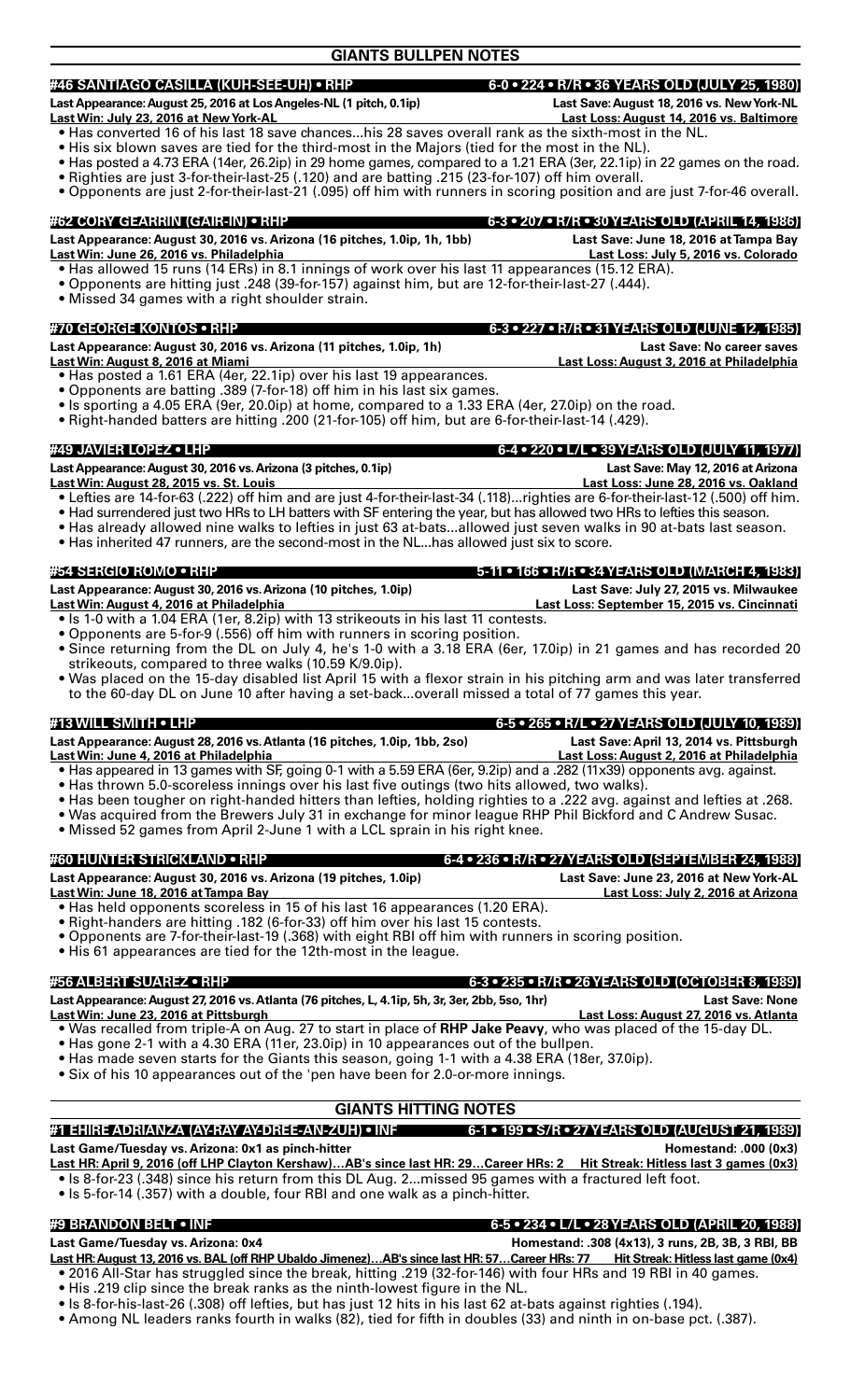## **#46 SANTIAGO CASILLA (KUH-SEE-UH) • RHP 6-0 • 224 • R/R • 36 YEARS OLD (JULY 25, 1980)**

**Last Appearance: August 25, 2016 at Los Angeles-NL (1 pitch, 0.1ip) Last Save: August 18, 2016 vs. New York-NL**

**Last Win: July 23, 2016 at New York-AL Last Loss: August 14, 2016 vs. Baltimore**

- Has converted 16 of his last 18 save chances...his 28 saves overall rank as the sixth-most in the NL.
- His six blown saves are tied for the third-most in the Majors (tied for the most in the NL).
- Has posted a 4.73 ERA (14er, 26.2ip) in 29 home games, compared to a 1.21 ERA (3er, 22.1ip) in 22 games on the road.
- Righties are just 3-for-their-last-25 (.120) and are batting .215 (23-for-107) off him overall.
- Opponents are just 2-for-their-last-21 (.095) off him with runners in scoring position and are just 7-for-46 overall.

## **#62 CORY GEARRIN (GAIR-IN) • RHP 6-3 • 207 • R/R • 30 YEARS OLD (APRIL 14, 1986) Last Appearance: August 30, 2016 vs. Arizona (16 pitches, 1.0ip, 1h, 1bb) Last Save: June 18, 2016 at Tampa Bay Last Win: June 26, 2016 vs. Philadelphia Last Loss: July 5, 2016 vs. Colorado** • Has allowed 15 runs (14 ERs) in 8.1 innings of work over his last 11 appearances (15.12 ERA).

- Opponents are hitting just .248 (39-for-157) against him, but are 12-for-their-last-27 (.444).
- • Missed 34 games with a right shoulder strain.

## **#70 GEORGE KONTOS • RHP 6-3 • 227 • R/R • 31 YEARS OLD (JUNE 12, 1985)**

| <u>    .</u>                                                                    | $\sqrt{2}$                                |
|---------------------------------------------------------------------------------|-------------------------------------------|
| Last Appearance: August 30, 2016 vs. Arizona (11 pitches, 1.0ip, 1h)            | <b>Last Save: No career saves</b>         |
| <u> Last Win: August 8, 2016 at Miami </u>                                      | Last Loss: August 3, 2016 at Philadelphia |
| $\sim$ 11 cm second $\sim$ 4.04 FBA (4 cm 00.4%) consider to 1.40 cm seconds on |                                           |

- Has posted a 1.61 ERA (4er, 22.1ip) over his last 19 appearances.
- Opponents are batting .389 (7-for-18) off him in his last six games.
- Is sporting a 4.05 ERA (9er, 20.0ip) at home, compared to a 1.33 ERA (4er, 27.0ip) on the road.
- Right-handed batters are hitting .200 (21-for-105) off him, but are 6-for-their-last-14 (.429).

## **#49 JAVIER LOPEZ • LHP 6-4 • 220 • L/L • 39 YEARS OLD (JULY 11, 1977)**

Last Appearance: August 30, 2016 vs. Arizona (3 pitches, 0.1ip) **Last Save: May 12, 2016 at Arizona Last Win: August 28, 2015 vs. St. Louis Last Loss: June 28, 2016 vs. Oakland**

- Lefties are 14-for-63 (.222) off him and are just 4-for-their-last-34 (.118)...righties are 6-for-their-last-12 (.500) off him.
- Had surrendered just two HRs to LH batters with SF entering the year, but has allowed two HRs to lefties this season.
- Has already allowed nine walks to lefties in just 63 at-bats...allowed just seven walks in 90 at-bats last season.
- Has inherited 47 runners, are the second-most in the NL...has allowed just six to score.

### **#54 SERGIO ROMO • RHP 5-11 • 166 • R/R • 34 YEARS OLD (MARCH 4, 1983)**

Last Appearance: August 30, 2016 vs. Arizona (10 pitches, 1.0ip) **Last Save: July 27, 2015 vs. Milwaukee Last Win: August 4, 2016 at Philadelphia Last Loss: September 15, 2015 vs. Cincinnati**

- Is 1-0 with a 1.04 ERA (1er, 8.2ip) with 13 strikeouts in his last 11 contests.
- Opponents are 5-for-9 (.556) off him with runners in scoring position.
- Since returning from the DL on July 4, he's 1-0 with a 3.18 ERA (6er, 17.0ip) in 21 games and has recorded 20 strikeouts, compared to three walks (10.59 K/9.0ip).
- Was placed on the 15-day disabled list April 15 with a flexor strain in his pitching arm and was later transferred to the 60-day DL on June 10 after having a set-back...overall missed a total of 77 games this year.

## **#13 WILL SMITH • LHP 6-5 • 265 • R/L • 27 YEARS OLD (JULY 10, 1989)**

**Last Appearance: August 28, 2016 vs. Atlanta (16 pitches, 1.0ip, 1bb, 2so) Last Save: April 13, 2014 vs. Pittsburgh Last Win: June 4, 2016 at Philadelphia Last Loss: August 2, 2016 at Philadelphia**

- Has appeared in 13 games with SF, going 0-1 with a 5.59 ERA (6er, 9.2ip) and a .282 (11x39) opponents avg. against.
- Has thrown 5.0-scoreless innings over his last five outings (two hits allowed, two walks).
- Has been tougher on right-handed hitters than lefties, holding righties to a .222 avg. against and lefties at .268.
- Was acquired from the Brewers July 31 in exchange for minor league RHP Phil Bickford and C Andrew Susac.
- Missed 52 games from April 2-June 1 with a LCL sprain in his right knee.

## **#60 HUNTER STRICKLAND • RHP 6-4 • 236 • R/R • 27 YEARS OLD (SEPTEMBER 24, 1988)**

Last Appearance: August 30, 2016 vs. Arizona (19 pitches, 1.0ip) Last Save: June 23, 2016 at New York-AL<br>Last Win: June 18, 2016 at Tampa Bay **Last Loss: July 2, 2016 at Arizona Last Win: June 18, 2016 at Tampa Bay** 

- Has held opponents scoreless in 15 of his last 16 appearances (1.20 ERA).
- Right-handers are hitting .182 (6-for-33) off him over his last 15 contests.
- Opponents are 7-for-their-last-19 (.368) with eight RBI off him with runners in scoring position.
- His 61 appearances are tied for the 12th-most in the league.

## **#56 ALBERT SUAREZ • RHP 6-3 • 235 • R/R • 26 YEARS OLD (OCTOBER 8, 1989)**

Last Appearance: August 27, 2016 vs. Atlanta (76 pitches, L, 4.1ip, 5h, 3r, 3er, 2bb, 5so, 1hr) Last Save: None **Last Win: June 23, 2016 at Pittsburgh Last Loss: August 27, 2016 vs. Atlanta**

- Was recalled from triple-A on Aug. 27 to start in place of RHP Jake Peavy, who was placed of the 15-day DL.
- Has gone 2-1 with a 4.30 ERA (11er, 23.0ip) in 10 appearances out of the bullpen.
- Has made seven starts for the Giants this season, going 1-1 with a 4.38 ERA (18er, 37.0ip).
- Six of his 10 appearances out of the 'pen have been for 2.0-or-more innings.

## **GIANTS HITTING NOTES**

## **#1 EHIRE ADRIANZA (AY-RAY AY-DREE-AN-ZUH) • INF 6-1 • 199 • S/R • 27 YEARS OLD (AUGUST 21, 1989)**  Last Game/Tuesday vs. Arizona: 0x1 as pinch-hitter **Homestand: 000 (0x3) Homestand: .000 (0x3) Last HR: April 9, 2016 (off LHP Clayton Kershaw)…AB's since last HR: 29…Career HRs: 2 Hit Streak: Hitless last 3 games (0x3)**

- Is 8-for-23 (.348) since his return from this DL Aug. 2...missed 95 games with a fractured left foot.
- Is 5-for-14 (.357) with a double, four RBI and one walk as a pinch-hitter.

## **#9 BRANDON BELT • INF 6-5 • 234 • L/L • 28 YEARS OLD (APRIL 20, 1988)**

Last Game/Tuesday vs. Arizona: 0x4 **https://www.filescommunity.community Homestand: .308 (4x13), 3 runs, 2B, 3B, 3 RBI, BB** Last HR: August 13, 2016 vs. BAL (off RHP Ubaldo Jimenez)...AB's since last HR: 57...Career HRs: 77 Hit Streak: Hitless last game (0x4)

- 2016 All-Star has struggled since the break, hitting .219 (32-for-146) with four HRs and 19 RBI in 40 games. • His .219 clip since the break ranks as the ninth-lowest figure in the NL.
- · Is 8-for-his-last-26 (.308) off lefties, but has just 12 hits in his last 62 at-bats against righties (.194).
- Among NL leaders ranks fourth in walks (82), tied for fifth in doubles (33) and ninth in on-base pct. (.387).
- 

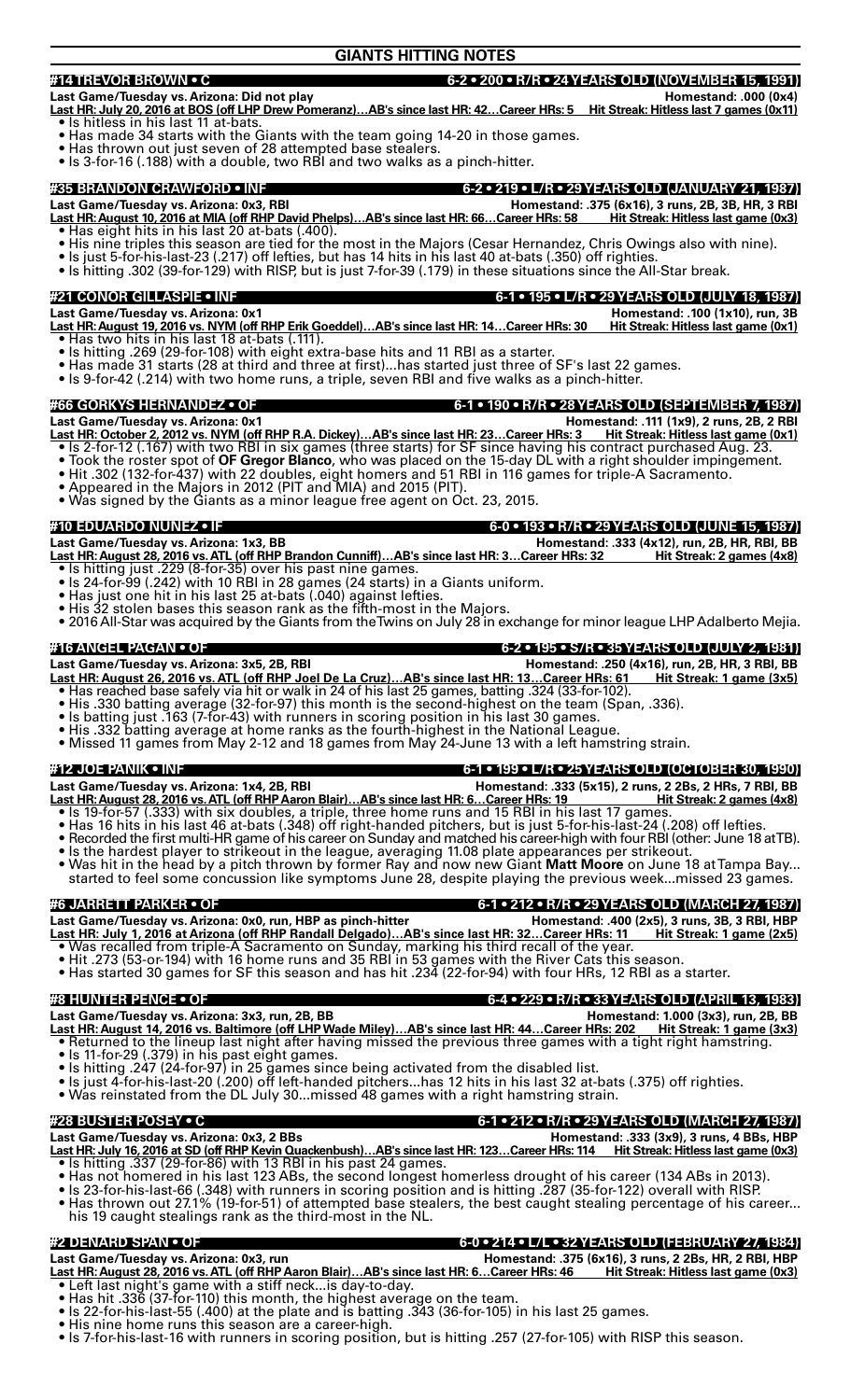## **GIANTS HITTING NOTES**

## **#14 TREVOR BROWN • C 6-2 • 200 • R/R • 24 YEARS OLD (NOVEMBER 15, 1991)**

### **Last Game/Tuesday vs. Arizona: Did not play Homestand: .000 (0x4)**

- **Last HR: July 20, 2016 at BOS (off LHP Drew Pomeranz)…AB's since last HR: 42…Career HRs: 5 Hit Streak: Hitless last 7 games (0x11)**
- Is hitless in his last 11 at-bats.
- Has made 34 starts with the Giants with the team going 14-20 in those games.
- Has thrown out just seven of 28 attempted base stealers.
- Is 3-for-16 (.188) with a double, two RBI and two walks as a pinch-hitter.

**#35 BRANDON CRAWFORD • INF 6-2 • 219 • L/R • 29 YEARS OLD (JANUARY 21, 1987) Last Game/Tuesday vs. Arizona: 0x3, RBI Homestand: .375 (6x16), 3 runs, 2B, 3B, HR, 3 RBI Last HR: August 10, 2016 at MIA (off RHP David Phelps)…AB's since last HR: 66…Career HRs: 58 Hit Streak: Hitless last game (0x3)**

- Has eight hits in his last 20 at-bats (.400).
- His nine triples this season are tied for the most in the Majors (Cesar Hernandez, Chris Owings also with nine).
- Is just 5-for-his-last-23 (.217) off lefties, but has 14 hits in his last 40 at-bats (.350) off righties.
- Is hitting .302 (39-for-129) with RISP, but is just 7-for-39 (.179) in these situations since the All-Star break.

**#21 CONOR GILLASPIE • INF 6-1 • 195 • L/R • 29 YEARS OLD (JULY 18, 1987)** 

- Last Game/Tuesday vs. Arizona: 0x1<br><u>Last HR: August 19, 2016 vs. NYM (off RHP Erik Goeddel)...AB's since last HR: 14…Career HRs: 30 Hit Streak: Hitless last game (0x1)</u> **Last HR: August 19, 2016 vs. NYM (off RHP Erik Goeddel)…AB's since last HR: 14…Career HRs: 30 Hit Streak: Hitless last game (0x1)** • Has two hits in his last 18 at-bats (.111).
- Is hitting .269 (29-for-108) with eight extra-base hits and 11 RBI as a starter.
- Has made 31 starts (28 at third and three at first)...has started just three of SF's last 22 games.
- Is 9-for-42 (.214) with two home runs, a triple, seven RBI and five walks as a pinch-hitter.

### **#66 GORKYS HERNANDEZ • OF 6-1 • 190 • R/R • 28 YEARS OLD (SEPTEMBER 7, 1987)**

**Last Game/Tuesday vs. Arizona: 0x1 Homestand: .111 (1x9), 2 runs, 2B, 2 RBI Last HR: October 2, 2012 vs. NYM (off RHP R.A. Dickey)…AB's since last HR: 23…Career HRs: 3 Hit Streak: Hitless last game (0x1)**

- Is 2-for-12 (.167) with two RBI in six games (three starts) for SF since having his contract purchased Aug. 23.
- Took the roster spot of OF Gregor Blanco, who was placed on the 15-day DL with a right shoulder impingement.
- Hit .302 (132-for-437) with 22 doubles, eight homers and 51 RBI in 116 games for triple-A Sacramento.
- Appeared in the Majors in 2012 (PIT and MIA) and 2015 (PIT).
- Was signed by the Giants as a minor league free agent on Oct. 23, 2015.

- **#10 EDUARDO NUNEZ IF 6-0 193 R/R 29 YEARS OLD (JUNE 15, 1987) Last Game/Tuesday vs. Arizona: 1x3, BB Homestand: .333 (4x12), run, 2B, HR, RBI, BB Last HR: August 28, 2016 vs. ATL (off RHP Brandon Cunniff)…AB's since last HR: 3…Career HRs: 32 Hit Streak: 2 games (4x8)**
- Is hitting just .229 (8-for-35) over his past nine games. • Is 24-for-99 (.242) with 10 RBI in 28 games (24 starts) in a Giants uniform.
- Has just one hit in his last 25 at-bats (.040) against lefties.
- His 32 stolen bases this season rank as the fifth-most in the Majors.
- 2016 All-Star was acquired by the Giants from the Twins on July 28'in exchange for minor league LHP Adalberto Mejia.
- 

## **#16 ANGEL PAGAN • OF 6-2 • 195 • S/R • 35 YEARS OLD (JULY 2, 1981)**

**Last Game/Tuesday vs. Arizona: 3x5, 2B, RBI Homestand: .250 (4x16), run, 2B, HR, 3 RBI, BB**

- **Last HR: August 26, 2016 vs. ATL (off RHP Joel De La Cruz)…AB's since last HR: 13…Career HRs: 61 Hit Streak: 1 game (3x5)** • Has reached base safely via hit or walk in 24 of his last 25 games, batting .324 (33-for-102).
- His .330 batting average (32-for-97) this month is the second-highest on the team (Span, .336).
- Is batting just .163 (7-for-43) with runners in scoring position in his last 30 games.
- His .332 batting average at home ranks as the fourth-highest in the National League.
- Missed 11 games from May 2-12 and 18 games from May 24-June 13 with a left hamstring strain.

**#12 JOE PANIK • INF 6-1 • 199 • L/R • 25 YEARS OLD (OCTOBER 30, 1990)** 

**Last Game/Tuesday vs. Arizona: 1x4, 2B, RBI Homestand: .333 (5x15), 2 runs, 2 2Bs, 2 HRs, 7 RBI, BB**

- <u>Last HR: August 28, 2016 vs. ATL (off RHP Aaron Blair)…AB's since last HR: 6…Career HRs: 19 Hit Streak: 2 games (4x8)</u> • Is 19-for-57 (.333) with six doubles, a triple, three home runs and 15 RBI in his last 17 games.
- Has 16 hits in his last 46 at-bats (.348) off right-handed pitchers, but is just 5-for-his-last-24 (.208) off lefties.
- Recorded the first multi-HR game of his career on Sunday and matched his career-high with four RBI (other: June 18 atTB).
- Is the hardest player to strikeout in the league, averaging 11.08 plate appearances per strikeout.
- Was hit in the head by a pitch thrown by former Ray and now new Giant **Matt Moore** on June 18 at Tampa Bay... started to feel some concussion like symptoms June 28, despite playing the previous week...missed 23 games.

**#6 JARRETT PARKER • OF 6-1 • 212 • R/R • 29 YEARS OLD (MARCH 27, 1987) Last Game/Tuesday vs. Arizona: 0x0, run, HBP as pinch-hitter Homestand: .400 (2x5), 3 runs, 3B, 3 RBI, HBP Last HR: July 1, 2016 at Arizona (off RHP Randall Delgado)…AB's since last HR: 32…Career HRs: 11 Hit Streak: 1 game (2x5)** • Was recalled from triple-A Sacramento on Sunday, marking his third recall of the year.

- Hit .273 (53-or-194) with 16 home runs and 35 RBI in 53 games with the River Cats this season.
- Has started 30 games for SF this season and has hit .234 (22-for-94) with four HRs, 12 RBI as a starter.

**#8 HUNTER PENCE • OF 6-4 • 229 • R/R • 33 YEARS OLD (APRIL 13, 1983) Last Game/Tuesday vs. Arizona: 3x3, run, 2B, BB Homestand: 1.000 (3x3), run, 2B, BB**

- **Last HR: August 14, 2016 vs. Baltimore (off LHP Wade Miley)…AB's since last HR: 44…Career HRs: 202 Hit Streak: 1 game (3x3)**
- Returned to the lineup last night after having missed the previous three games with a tight right hamstring.
- $\bullet$  Is 11-for-29 (.379) in his past eight games.
- Is hitting .247 (24-for-97) in 25 games since being activated from the disabled list.
- Is just 4-for-his-last-20 (.200) off left-handed pitchers...has 12 hits in his last 32 at-bats (.375) off righties.
- Was reinstated from the DL July 30...missed 48 games with a right hamstring strain.

**#28 BUSTER POSEY • C 6-1 • 212 • R/R • 29 YEARS OLD (MARCH 27, 1987)** 

**Last Game/Tuesday vs. Arizona: 0x3, 2 BBs Homestand: .333 (3x9), 3 runs, 4 BBs, HBP Last HR: July 16, 2016 at SD (off RHP Kevin Quackenbush)…AB's since last HR: 123…Career HRs: 114 Hit Streak: Hitless last game (0x3)** • Is hitting .337 (29-for-86) with 13 RBI in his past 24 games.

- Has not homered in his last 123 ABs, the second longest homerless drought of his career (134 ABs in 2013).
- Is 23-for-his-last-66 (.348) with runners in scoring position and is hitting .287 (35-for-122) overall with RISP.
- Has thrown out 27.1% (19-for-51) of attempted base stealers, the best caught stealing percentage of his career... his 19 caught stealings rank as the third-most in the NL.

## **#2 DENARD SPAN • OF 6-0 • 214 • L/L • 32 YEARS OLD (FEBRUARY 27, 1984)**

- Last Game/Tuesday vs. Arizona: 0x3, run<br><u>Last HR: August 28, 2016 vs. ATL (off RHP Aaron Blair)...AB's since last HR: 6...Career HRs: 46 Hit Streak: Hitless last game (0x3)</u> **Last HR: August 28, 2016 vs. ATL (off RHP Aaron Blair)…AB's since last HR: 6…Career HRs: 46 Hit Streak: Hitless last game (0x3)** • Left last night's game with a stiff neck...is day-to-day.
	-
- Has hit .336 (37-for-110) this month, the highest average on the team. • Is 22-for-his-last-55 (.400) at the plate and is batting  $.343$  (36-for-105) in his last 25 games.
- His nine home runs this season are a career-high.
- Is 7-for-his-last-16 with runners in scoring position, but is hitting .257 (27-for-105) with RISP this season.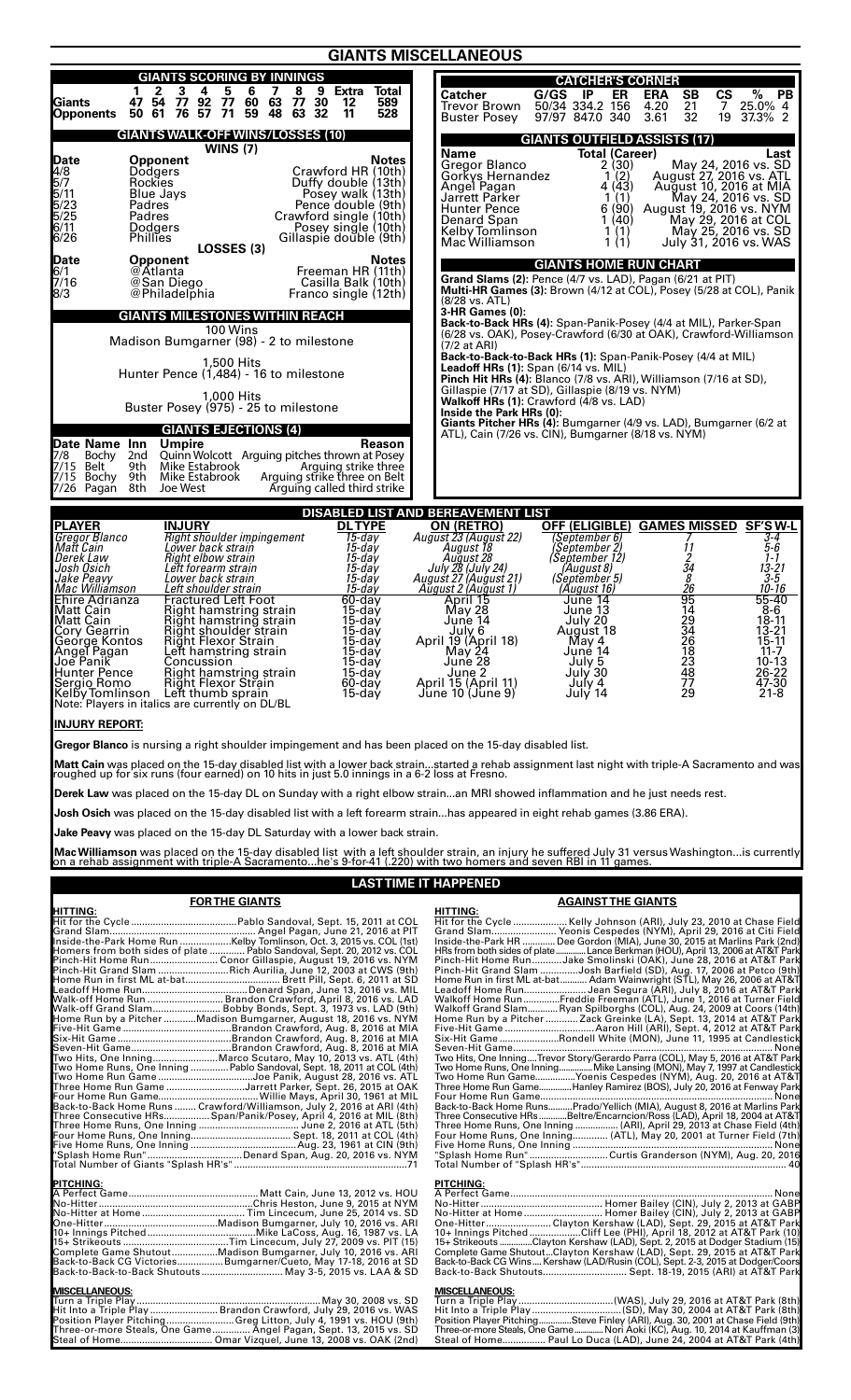|                                                                                                                                                                                                                                                                                                                                                                                                                                                                                                                                                                                                                                                                                                                                                                                                                                                                                             | <b>GIANTS MISCELLANEOUS</b>                                                                                                                                                                                                                                                                                                                                                                                                                                                                                                                                                                                                                                                                                                                                             |
|---------------------------------------------------------------------------------------------------------------------------------------------------------------------------------------------------------------------------------------------------------------------------------------------------------------------------------------------------------------------------------------------------------------------------------------------------------------------------------------------------------------------------------------------------------------------------------------------------------------------------------------------------------------------------------------------------------------------------------------------------------------------------------------------------------------------------------------------------------------------------------------------|-------------------------------------------------------------------------------------------------------------------------------------------------------------------------------------------------------------------------------------------------------------------------------------------------------------------------------------------------------------------------------------------------------------------------------------------------------------------------------------------------------------------------------------------------------------------------------------------------------------------------------------------------------------------------------------------------------------------------------------------------------------------------|
| <b>GIANTS SCORING BY INNINGS</b>                                                                                                                                                                                                                                                                                                                                                                                                                                                                                                                                                                                                                                                                                                                                                                                                                                                            | <b>CATCHER'S CORNER</b>                                                                                                                                                                                                                                                                                                                                                                                                                                                                                                                                                                                                                                                                                                                                                 |
| $\mathbf{2}$<br>3<br>4<br>5<br>6<br>$\overline{\mathbf{z}}$<br>8<br>9 Extra<br>Total<br>1<br>47 54<br>Giants<br>Opponents<br>77 92 77<br>76 57 71<br>60 63<br>77<br>30<br>589<br>12<br>63<br>48<br>32<br>50 61<br>59<br>11<br>528                                                                                                                                                                                                                                                                                                                                                                                                                                                                                                                                                                                                                                                           | %<br>Catcher<br>G/GS<br>- IP<br>ER<br><b>ERA</b><br>SB<br><b>CS</b><br><b>PB</b><br>50/34 334.2 156<br>21<br>25.0% 4<br>4.20<br>Trevor Brown<br>7<br>97/97 847.0 340<br>3.61<br>32<br>19<br>37.3% 2<br><b>Buster Posey</b>                                                                                                                                                                                                                                                                                                                                                                                                                                                                                                                                              |
| <b>GIANTS WALK-OFF WINS/LOSSES (10)</b>                                                                                                                                                                                                                                                                                                                                                                                                                                                                                                                                                                                                                                                                                                                                                                                                                                                     | <b>GIANTS OUTFIELD ASSISTS (17)</b>                                                                                                                                                                                                                                                                                                                                                                                                                                                                                                                                                                                                                                                                                                                                     |
| $\overline{W}$ INS $(7)$<br><b>Date</b><br>4/8<br>5/7<br>5/23<br>5/25<br>6/10<br><b>Opponent</b><br>Notes<br>Crawford HR (10th)<br>Dodgers<br>Rockies<br>Duffy double (13th)<br>Blue Jays<br>Posey walk (13th)<br>Padres<br>Pence double (9th)<br>Padres<br>Crawford single (10th)<br>Dodgers<br>Posey single (10th)<br>6/26<br>Gillaspie double (9th)<br>Phillies<br>LOSSES (3)                                                                                                                                                                                                                                                                                                                                                                                                                                                                                                            | <b>Total (Career)</b><br>Name<br>Last<br>Gregor Blanco<br>$\begin{array}{c} 2(30) \\ 1(2) \end{array}$<br>May 24, 2016 vs. SD<br>Gorkys Hernandez<br>August 27, 2016 vs. ATL<br>4(43)<br>Angel Pagan<br>August 10, 2016 at MIA<br>Jarrett Parker<br>1(1)<br>May 24, 2016 vs. SD<br>6(90)<br>August 19, 2016 vs. NYM<br>Hunter Pence<br>Denard Span<br>1(40)<br>May 29, 2016 at COL<br>Kelby Tomlinson<br>$\begin{pmatrix} 1 \\ 1 \end{pmatrix}$<br>May 25, 2016 vs. SD<br>Mac Williamson<br>July 31, 2016 vs. WAS                                                                                                                                                                                                                                                       |
| <b>Date</b><br>6/1<br>7/16<br>8/3<br><b>Opponent</b><br>Notes<br>@Atlanta<br>Freeman HR (11th)<br>@San Diego<br>Casilla Balk (10th)<br>@Philadelphia<br>Franco single (12th)                                                                                                                                                                                                                                                                                                                                                                                                                                                                                                                                                                                                                                                                                                                | <b>GIANTS HOME RUN CHART</b><br>Grand Slams (2): Pence (4/7 vs. LAD), Pagan (6/21 at PIT)<br><b>Multi-HR Games (3):</b> Brown (4/12 at COL), Posey (5/28 at COL), Panik<br>(8/28 vs. ATL)                                                                                                                                                                                                                                                                                                                                                                                                                                                                                                                                                                               |
| <b>GIANTS MILESTONES WITHIN REACH</b>                                                                                                                                                                                                                                                                                                                                                                                                                                                                                                                                                                                                                                                                                                                                                                                                                                                       | 3-HR Games (0):<br><b>Back-to-Back HRs (4):</b> Span-Panik-Posey (4/4 at MIL), Parker-Span                                                                                                                                                                                                                                                                                                                                                                                                                                                                                                                                                                                                                                                                              |
| 100 Wins<br>Madison Bumgarner (98) - 2 to milestone                                                                                                                                                                                                                                                                                                                                                                                                                                                                                                                                                                                                                                                                                                                                                                                                                                         | (6/28 vs. OAK), Posey-Crawford (6/30 at OAK), Crawford-Williamson-<br>(7/2 at ARI)                                                                                                                                                                                                                                                                                                                                                                                                                                                                                                                                                                                                                                                                                      |
| 1,500 Hits<br>Hunter Pence (1,484) - 16 to milestone                                                                                                                                                                                                                                                                                                                                                                                                                                                                                                                                                                                                                                                                                                                                                                                                                                        | Back-to-Back-to-Back HRs (1): Span-Panik-Posey (4/4 at MIL)<br>Leadoff HRs (1): Span (6/14 vs. MIL)                                                                                                                                                                                                                                                                                                                                                                                                                                                                                                                                                                                                                                                                     |
| 1,000 Hits                                                                                                                                                                                                                                                                                                                                                                                                                                                                                                                                                                                                                                                                                                                                                                                                                                                                                  | Pinch Hit HRs (4): Blanco (7/8 vs. ARI), Williamson (7/16 at SD),<br>Gillaspie (7/17 at SD), Gillaspie (8/19 vs. NYM)                                                                                                                                                                                                                                                                                                                                                                                                                                                                                                                                                                                                                                                   |
| Buster Posey (975) - 25 to milestone                                                                                                                                                                                                                                                                                                                                                                                                                                                                                                                                                                                                                                                                                                                                                                                                                                                        | Walkoff HRs (1): Crawford (4/8 vs. LAD)<br>Inside the Park HRs (0):                                                                                                                                                                                                                                                                                                                                                                                                                                                                                                                                                                                                                                                                                                     |
| <b>GIANTS EJECTIONS (4)</b><br><b>Date Name Inn</b><br>7/8 Bochy 2nd<br>7/15 Belt 9th<br>7/15 Bochy 9th<br>7/26 Pagan 8th<br><b>Umpire</b><br><b>Reason</b><br>Quinn Wolcott Arguing pitches thrown at Posey<br>Mike Estabrook<br>Arguing strike three<br>Mike Estabrook<br>Arguing strike three on Belt<br>Joe West<br>Arguing called third strike                                                                                                                                                                                                                                                                                                                                                                                                                                                                                                                                         | Giants Pitcher HRs (4): Bumgarner (4/9 vs. LAD), Bumgarner (6/2 at<br>ATL), Cain (7/26 vs. CIN), Bumgarner (8/18 vs. NYM)                                                                                                                                                                                                                                                                                                                                                                                                                                                                                                                                                                                                                                               |
| <b>PLAYER</b><br><b>DLTYPE</b><br><b>INJURY</b>                                                                                                                                                                                                                                                                                                                                                                                                                                                                                                                                                                                                                                                                                                                                                                                                                                             | <b>DISABLED LIST AND BEREAVEMENT LIST</b><br>ON (RETRO)<br>OFF (ELIGIBLE) GAMES MISSED SF'S W-L                                                                                                                                                                                                                                                                                                                                                                                                                                                                                                                                                                                                                                                                         |
| Gregor Blanco<br><b>Right shoulder impingement</b><br>$15$ -day<br><i>Matt Cain</i><br>15-day<br>Lower back strain<br> Derek Law<br>Right elbow strain<br>15-day<br>I Josh Osich<br>Left forearm strain<br>15-day<br>Jake Peavy<br>Lower back strain<br>15-day<br>Mac Williamson<br>Left shoulder strain<br>15-day<br>Ehire Adrianza<br>Matt Çain<br><b>Fractured Left Foot</b><br>$60 - day$<br>Right hamstring strain<br>15-day<br>Right hamstring strain<br>Right shoulder strain<br> Matt Cain<br>15-day<br>15-day<br>Çory Gearrin<br>Right Flexor Strain<br>Ģeorge Kontos<br>$15$ -day<br>Angel Pagan<br>Joe Panik<br>Lett hamstring strain<br>15-day<br>Concussion<br>15-day<br>Hunter Pence<br>Sergio Romo<br>Kelby Tomlinson<br>Right hamstring strain<br>15-day<br>Right Flexor Strain<br>60-day<br>Left thumb sprain<br>15-day<br>Note: Players in italics are currently on DL/BL | August 23 (August 22)<br>(September 6)<br>3-4<br>$\begin{array}{c}\n 11 \\ 24 \\ 8 \\ 8\n \end{array}$<br>5-6<br>(September 2)<br>August 18<br>August 28<br>July 28 (July 24)<br>(September 12)<br>1-1<br>$13 - 21$<br>(August 8)<br>August 27 (August 21)<br>$3 - 5$<br>(September 5)<br>26<br>95<br>14<br>23<br>26<br>26<br>18<br>August 2 (August 1)<br>$10 - 16$<br>(August 16)<br>55-40<br>April 15<br>June 14<br>May 28<br>June 13<br>$8 - 6$<br>18-11<br>June 14<br>July 20<br>August 18<br>13-21<br>July 6<br>April 19 (April 18)<br>$15 - 11$<br>May 4<br>$11 - 7$<br>Jụné 14<br>May 24<br>23<br>June 28<br>$10-13$<br>July 5<br>June 2<br>July 30<br>26-22<br>48<br>77<br>47-30<br>April 15 (April 11)<br>July 4<br>June 10 (June 9)<br>29<br>July 14<br>21-8 |
| <b>IINJURY REPORT:</b>                                                                                                                                                                                                                                                                                                                                                                                                                                                                                                                                                                                                                                                                                                                                                                                                                                                                      |                                                                                                                                                                                                                                                                                                                                                                                                                                                                                                                                                                                                                                                                                                                                                                         |
| <b>Gregor Blanco</b> is nursing a right shoulder impingement and has been placed on the 15-day disabled list.<br><b>Derek Law</b> was placed on the 15-day DL on Sunday with a right elbow strainan MRI showed inflammation and he just needs rest.<br><b>Josh Osich</b> was placed on the 15-day disabled list with a left forearm strainhas appeared in eight rehab games (3.86 ERA).<br>Jake Peavy was placed on the 15-day DL Saturday with a lower back strain.<br>on a rehab assignment with triple-A Sacramentohe's 9-for-41 (.220) with two homers and seven RBI in 11 games.                                                                                                                                                                                                                                                                                                       | Matt Cain was placed on the 15-day disabled list with a lower back strainstarted a rehab assignment last night with triple-A Sacramento and was<br>roughed up for six runs (four earned) on 10 hits in just 5.0 innings in a 6<br>Mac Williamson was placed on the 15-day disabled list with a left shoulder strain, an injury he suffered July 31 versus Washingtonis currently                                                                                                                                                                                                                                                                                                                                                                                        |
|                                                                                                                                                                                                                                                                                                                                                                                                                                                                                                                                                                                                                                                                                                                                                                                                                                                                                             | <b>LAST TIME IT HAPPENED</b>                                                                                                                                                                                                                                                                                                                                                                                                                                                                                                                                                                                                                                                                                                                                            |
| <b>FOR THE GIANTS</b>                                                                                                                                                                                                                                                                                                                                                                                                                                                                                                                                                                                                                                                                                                                                                                                                                                                                       | <b>AGAINST THE GIANTS</b>                                                                                                                                                                                                                                                                                                                                                                                                                                                                                                                                                                                                                                                                                                                                               |
|                                                                                                                                                                                                                                                                                                                                                                                                                                                                                                                                                                                                                                                                                                                                                                                                                                                                                             | <b>HITTING:</b><br>Hit for the Cycle Kelly Johnson (ARI), July 23, 2010 at Chase Field<br>Grand Slam Yeonis Cespedes (NYM), April 29, 2016 at Citi Field<br>Inside-the-Park HR  Dee Gordon (MIA), June 30, 2015 at Marlins Park (2nd)                                                                                                                                                                                                                                                                                                                                                                                                                                                                                                                                   |
|                                                                                                                                                                                                                                                                                                                                                                                                                                                                                                                                                                                                                                                                                                                                                                                                                                                                                             | HRs from both sides of plateLance Berkman (HOU), April 13, 2006 at AT&T Park<br>Pinch-Hit Home RunJake Smolinski (OAK), June 28, 2016 at AT&T Park                                                                                                                                                                                                                                                                                                                                                                                                                                                                                                                                                                                                                      |
|                                                                                                                                                                                                                                                                                                                                                                                                                                                                                                                                                                                                                                                                                                                                                                                                                                                                                             | Pinch-Hit Grand Slam Josh Barfield (SD), Aug. 17, 2006 at Petco (9th)<br>Home Run in first ML at-bat Adam Wainwright (STL), May 26, 2006 at AT&T                                                                                                                                                                                                                                                                                                                                                                                                                                                                                                                                                                                                                        |
|                                                                                                                                                                                                                                                                                                                                                                                                                                                                                                                                                                                                                                                                                                                                                                                                                                                                                             | Leadoff Home RunJean Segura (ARI), July 8, 2016 at AT&T Park<br>Walkoff Home RunFreddie Freeman (ATL), June 1, 2016 at Turner Field<br>Walkoff Grand SlamRyan Spilborghs (COL), Aug. 24, 2009 at Coors (14th)                                                                                                                                                                                                                                                                                                                                                                                                                                                                                                                                                           |
|                                                                                                                                                                                                                                                                                                                                                                                                                                                                                                                                                                                                                                                                                                                                                                                                                                                                                             | Home Run by a Pitcher  Zack Greinke (LA), Sept. 13, 2014 at AT&T Park                                                                                                                                                                                                                                                                                                                                                                                                                                                                                                                                                                                                                                                                                                   |
|                                                                                                                                                                                                                                                                                                                                                                                                                                                                                                                                                                                                                                                                                                                                                                                                                                                                                             | Six-Hit Game Rondell White (MON), June 11, 1995 at Candlestick<br>Two Hits, One InningTrevor Story/Gerardo Parra (COL), May 5, 2016 at AT&T Park                                                                                                                                                                                                                                                                                                                                                                                                                                                                                                                                                                                                                        |
|                                                                                                                                                                                                                                                                                                                                                                                                                                                                                                                                                                                                                                                                                                                                                                                                                                                                                             | Two Home Runs, One InningWike Lansing (MON), May 7, 1997 at Candlestick<br>Two Home Run GameYoenis Cespedes (NYM), Aug. 20, 2016 at AT&T                                                                                                                                                                                                                                                                                                                                                                                                                                                                                                                                                                                                                                |
|                                                                                                                                                                                                                                                                                                                                                                                                                                                                                                                                                                                                                                                                                                                                                                                                                                                                                             | Three Home Run GameHanley Ramirez (BOS), July 20, 2016 at Fenway Park                                                                                                                                                                                                                                                                                                                                                                                                                                                                                                                                                                                                                                                                                                   |
|                                                                                                                                                                                                                                                                                                                                                                                                                                                                                                                                                                                                                                                                                                                                                                                                                                                                                             | Back-to-Back Home RunsPrado/Yellich (MIA), August 8, 2016 at Marlins Park<br>Three Consecutive HRsBeltre/Encarncion/Ross (LAD), April 18, 2004 at AT&T<br>Three Home Runs, One Inning  (ARI), April 29, 2013 at Chase Field (4th)                                                                                                                                                                                                                                                                                                                                                                                                                                                                                                                                       |
|                                                                                                                                                                                                                                                                                                                                                                                                                                                                                                                                                                                                                                                                                                                                                                                                                                                                                             | Four Home Runs, One Inning (ATL), May 20, 2001 at Turner Field (7th)                                                                                                                                                                                                                                                                                                                                                                                                                                                                                                                                                                                                                                                                                                    |
|                                                                                                                                                                                                                                                                                                                                                                                                                                                                                                                                                                                                                                                                                                                                                                                                                                                                                             |                                                                                                                                                                                                                                                                                                                                                                                                                                                                                                                                                                                                                                                                                                                                                                         |
|                                                                                                                                                                                                                                                                                                                                                                                                                                                                                                                                                                                                                                                                                                                                                                                                                                                                                             | PITCHING:<br>No-Hitter at Home Homer Bailey (CIN), July 2, 2013 at GABP<br>One-HitterClayton Kershaw (LAD), Sept. 29, 2015 at AT&T Park<br>10+ Innings Pitched Cliff Lee (PHI), April 18, 2012 at AT&T Park (10)<br>15+ Strikeouts Clayton Kershaw (LAD), Sept. 2, 2015 at Dodger Stadium (15)<br>Complete Game ShutoutClayton Kershaw (LAD), Sept. 29, 2015 at AT&T Park<br>Back-to-Back CG Wins Kershaw (LAD/Rusin (COL), Sept. 2-3, 2015 at Dodger/Coors<br>Back-to-Back Shutouts Sept. 18-19, 2015 (ARI) at AT&T Park                                                                                                                                                                                                                                               |
|                                                                                                                                                                                                                                                                                                                                                                                                                                                                                                                                                                                                                                                                                                                                                                                                                                                                                             | <b>MISCELLANEOUS:</b><br>Hit Into a Triple Play (SD), May 30, 2004 at AT&T Park (8th)<br>Position Player PitchingSteve Finley (ARI), Aug. 30, 2001 at Chase Field (9th)<br>Three-or-more Steals, One Game Nori Aoki (KC), Aug. 10, 2014 at Kauffman (3)<br>Steal of Home Paul Lo Duca (LAD), June 24, 2004 at AT&T Park (4th)                                                                                                                                                                                                                                                                                                                                                                                                                                           |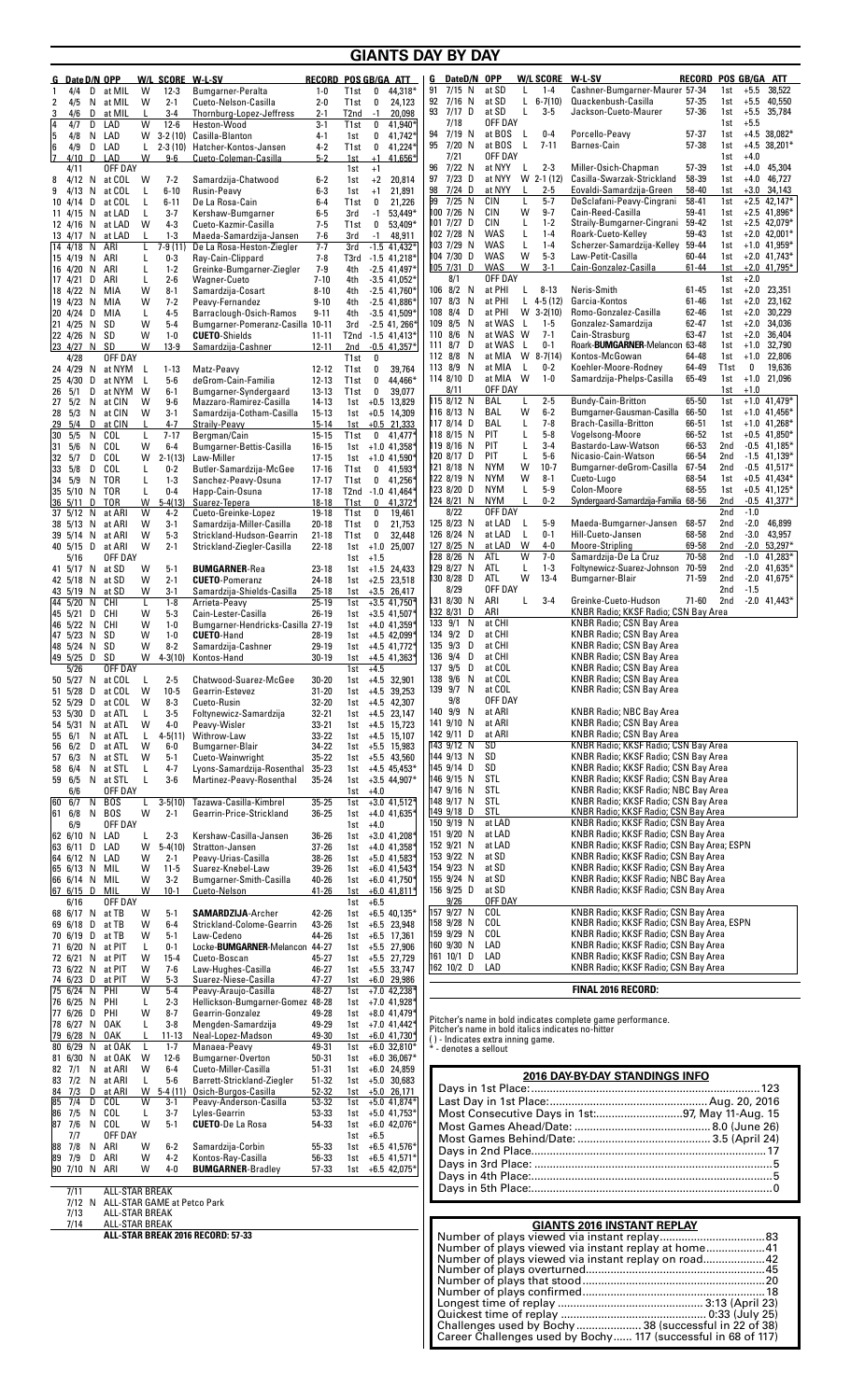| G Date D/N OPP<br>W/L SCORE W-L-SV<br>4/4<br>D<br>at MIL<br>W<br>$12 - 3$<br><b>Bumgarner-Peralta</b><br>1<br>4/5<br>N<br>at MIL<br>W<br>$2 - 1$<br>2<br>Cueto-Nelson-Casilla<br>4/6<br>D<br>at MIL<br>$3 - 4$<br>Thornburg-Lopez-Jeffress<br>3<br>L<br>$12 - 6$<br>14<br>4/7<br>D<br>LAD<br>W<br>Heston-Wood<br>5<br>4/8<br>N<br>LAD<br>w<br>$3-2(10)$<br>Casilla-Blanton<br>LAD<br>6<br>4/9<br>D<br>L.<br>$2-3(10)$<br>Hatcher-Kontos-Jansen<br>17<br>4/10<br>D<br>LAD<br>W<br>$9-6$<br>Cueto-Coleman-Casilla<br>OFF DAY<br>4/11<br>$4/12$ N<br>at COL<br><b>W</b><br>$7 - 2$<br>Samardzija-Chatwood<br>8<br>at COL<br>L<br>$6 - 10$<br>Rusin-Peavy<br>4/13<br>N<br>9<br>D<br>at COL<br>L<br>$6 - 11$<br>De La Rosa-Cain<br>10 4/14<br>at LAD<br>L<br>$3 - 7$<br>Kershaw-Bumgarner<br>11 4/15<br>N<br>N<br>at LAD<br>W<br>$4 - 3$<br>Cueto-Kazmir-Casilla<br>12 4/16<br>at LAD<br>L<br>$1 - 3$<br>13 4/17<br>N.<br>Maeda-Samardzija-Jansen<br>ARI<br>14 4/18<br>N<br>7-9 (11)<br>De La Rosa-Heston-Ziegler<br>L<br>15 4/19<br>ARI<br>L<br>$0-3$<br>Ray-Cain-Clippard<br>N<br>$1 - 2$<br>ARI<br>L<br>Greinke-Bumgarner-Ziegler<br>16 4/20<br>N                                                                                                                                                                                                                                                                                                                                                                                                                                                                                                                                                                                                                                                                                                                                                                                                                                                                                                                                                                                                                                                                                                                                                                                                                                   | $1-0$<br>$2 - 0$<br>2-1<br>$3-1$<br>$4 - 1$<br>4-2<br>$5-2$<br>$6-2$<br>$6 - 3$<br>$6 - 4$<br>6-5<br>7-5<br>$7-6$<br>$7 - 7$<br>7-8<br>7-9                                                                                                                                                                                                                                                            | Record Pos GB/GA ATT<br>T1st<br>0<br>44,318*<br>T <sub>1st</sub><br>0<br>24,123<br>T <sub>2</sub> nd<br>$-1$<br>20,098<br>41,940*<br>T1st<br>0<br>41,742*<br>1st<br>0<br>41,224*<br>T <sub>1st</sub><br>0<br>1st<br>$+1$<br>41,656*<br>$+1$<br>1st<br>$+2$<br>20,814<br>1st<br>$+1$<br>21,891<br>1st<br>21,226<br>T1st<br>0<br>$53,449*$<br>3rd<br>$-1$<br>53,409*<br>T1st<br>0<br>3rd<br>$-1$<br>48,911<br>$-1.5$ 41,432*<br>3rd<br>T3rd<br>$-1.5$ 41,218*<br>$-2.5$ 41,497*<br>4th                                                                                                                                                                                                                                                                                                                                                                                                                                                                                                                                                                                                                                  | DateD/N<br>G<br>91<br>$7/15$ N<br>$7/16$ N<br>92<br>93<br>7/17 D<br>7/18<br>$7/19$ N<br>94<br>95<br>7/20 N<br>7/21<br>$7/22$ N<br>96<br>97<br>7/23<br>D<br>$7/24$ D<br>98<br>99<br>7/25 N<br>100 7/26 N<br>101 7/27 D<br>102 7/28 N<br>103 7/29 N<br>104 7/30 D<br>$105$ 7/31 D<br>8/1                                                                                                                                                                                                                                                  | <b>W/L SCORE</b><br><b>OPP</b><br>at SD<br>$1 - 4$<br>L<br>at SD<br>L<br>$6 - 7(10)$<br>at SD<br>L<br>$3-5$<br>OFF DAY<br>at BOS<br>L<br>$0-4$<br>at BOS<br>L<br>$7 - 11$<br>OFF DAY<br>at NYY<br>L<br>$2 - 3$<br>W 2-1 (12)<br>at NYY<br>at NYY<br>L<br>$2 - 5$<br>$5 - 7$<br>CIN<br>L<br>W<br>$9 - 7$<br>CIN<br>CIN<br>L<br>$1 - 2$<br>$1 - 4$<br>WAS<br>L<br><b>WAS</b><br>L<br>$1 - 4$<br><b>WAS</b><br>W<br>$5 - 3$<br><b>WAS</b><br>W<br>$3-1$<br>OFF DAY                                                                                                                                                                                                                                                                                                                    | W L SV<br>RECORD<br>Cashner-Bumgarner-Maurer 57-34<br>Quackenbush-Casilla<br>$57 - 35$<br>Jackson-Cueto-Maurer<br>$57 - 36$<br>Porcello-Peavy<br>57-37<br>Barnes-Cain<br>$57 - 38$<br>Miller-Osich-Chapman<br>57-39<br>Casilla-Swarzak-Strickland<br>58-39<br>58-40<br>Eovaldi-Samardzija-Green<br>DeSclafani-Peavy-Cingrani<br>58-41<br>Cain-Reed-Casilla<br>59-41<br>Straily-Bumgarner-Cingrani<br>59-42<br>Roark-Cueto-Kelley<br>59-43<br>Scherzer-Samardzija-Kelley<br>59-44<br>Law-Petit-Casilla<br>60-44<br>Cain-Gonzalez-Casilla<br>$61 - 44$                                                                                                                                                                                                                                                                                                                                                                                                                                                                                                                                                                           | POS GB/GA ATT<br>38,522<br>1st<br>$+5.5$<br>$+5.5$<br>40,550<br>1st<br>$+5.5$<br>35,784<br>1st<br>$+5.5$<br>1st<br>$+4.5$ 38,082*<br>1st<br>$+4.5$ 38,201*<br>1st<br>1st<br>$+4.0$<br>1st<br>$+4.0$<br>45,304<br>$+4.0$<br>46,727<br>1st<br>$+3.0$<br>1st<br>34,143<br>1st<br>$+2.5$ 42,147*<br>$+2.5$ 41,896*<br>1st<br>$+2.5$ 42,079*<br>1st<br>1st<br>$+2.0$ 42,001*<br>$+1.0$ 41,959*<br>1st<br>1st<br>$+2.0$ 41,743*<br>1st<br>$+2.0$ 41,795*<br>$+2.0$<br>1st                                                                                                                                                                                                                                                                                                   |
|-----------------------------------------------------------------------------------------------------------------------------------------------------------------------------------------------------------------------------------------------------------------------------------------------------------------------------------------------------------------------------------------------------------------------------------------------------------------------------------------------------------------------------------------------------------------------------------------------------------------------------------------------------------------------------------------------------------------------------------------------------------------------------------------------------------------------------------------------------------------------------------------------------------------------------------------------------------------------------------------------------------------------------------------------------------------------------------------------------------------------------------------------------------------------------------------------------------------------------------------------------------------------------------------------------------------------------------------------------------------------------------------------------------------------------------------------------------------------------------------------------------------------------------------------------------------------------------------------------------------------------------------------------------------------------------------------------------------------------------------------------------------------------------------------------------------------------------------------------------------------------------------------------------------------------------------------------------------------------------------------------------------------------------------------------------------------------------------------------------------------------------------------------------------------------------------------------------------------------------------------------------------------------------------------------------------------------------------------------------------------------------|-------------------------------------------------------------------------------------------------------------------------------------------------------------------------------------------------------------------------------------------------------------------------------------------------------------------------------------------------------------------------------------------------------|-----------------------------------------------------------------------------------------------------------------------------------------------------------------------------------------------------------------------------------------------------------------------------------------------------------------------------------------------------------------------------------------------------------------------------------------------------------------------------------------------------------------------------------------------------------------------------------------------------------------------------------------------------------------------------------------------------------------------------------------------------------------------------------------------------------------------------------------------------------------------------------------------------------------------------------------------------------------------------------------------------------------------------------------------------------------------------------------------------------------------|-----------------------------------------------------------------------------------------------------------------------------------------------------------------------------------------------------------------------------------------------------------------------------------------------------------------------------------------------------------------------------------------------------------------------------------------------------------------------------------------------------------------------------------------|------------------------------------------------------------------------------------------------------------------------------------------------------------------------------------------------------------------------------------------------------------------------------------------------------------------------------------------------------------------------------------------------------------------------------------------------------------------------------------------------------------------------------------------------------------------------------------------------------------------------------------------------------------------------------------------------------------------------------------------------------------------------------------|--------------------------------------------------------------------------------------------------------------------------------------------------------------------------------------------------------------------------------------------------------------------------------------------------------------------------------------------------------------------------------------------------------------------------------------------------------------------------------------------------------------------------------------------------------------------------------------------------------------------------------------------------------------------------------------------------------------------------------------------------------------------------------------------------------------------------------------------------------------------------------------------------------------------------------------------------------------------------------------------------------------------------------------------------------------------------------------------------------------------------------|-----------------------------------------------------------------------------------------------------------------------------------------------------------------------------------------------------------------------------------------------------------------------------------------------------------------------------------------------------------------------------------------------------------------------------------------------------------------------------------------------------------------------------------------------------------------------------------------------------------------------------------------------------------------------------------------------------------------------------------------------------------------------|
| $2 - 6$<br>17 4/21<br>D<br>ARI<br>L<br><b>Wagner-Cueto</b><br>18 4/22<br>N<br>MIA<br>W<br>$8 - 1$<br>Samardzija-Cosart<br>W<br>N<br>MIA<br>$7 - 2$<br>Peavy-Fernandez<br>19 4/23<br>$4 - 5$<br>20 4/24<br>D<br>MIA<br>L<br>Barraclough-Osich-Ramos<br>W<br>21 4/25<br>N<br>SD<br>$5 - 4$<br>Bumgarner-Pomeranz-Casilla 10-11<br>W<br>N<br>SD<br>$1 - 0$<br><b>CUETO-Shields</b><br>22 4/26<br>23 4/27<br>N<br>SD<br>w<br>$13-9$<br>Samardzija-Cashner<br>OFF DAY<br>4/28<br>24 4/29<br>at NYM<br>Matz-Peavy<br>N<br>- L<br>$1 - 13$<br>$5-6$<br>25 4/30<br>D<br>at NYM<br>- L<br>deGrom-Cain-Familia<br>5/1<br>D<br>at NYM<br>- W<br>$6 - 1$<br>Bumgarner-Syndergaard<br>26<br>5/2<br>N<br>at CIN<br>W<br>$9-6$<br>27<br>Mazzaro-Ramirez-Casilla<br>5/3<br>N<br>at CIN<br>W<br>$3-1$<br>Samardzija-Cotham-Casilla<br>28<br>29<br>5/4<br>D<br>at CIN<br>$\mathbf{I}$<br>$4 - 7$<br>Straily-Peavy<br>5/5<br>COL<br>$7 - 17$<br>30<br>N<br>L<br>Beraman/Cain<br>5/6<br>COL<br>31<br>Ν<br>W<br>$6 - 4$<br>Bumgarner-Bettis-Casilla<br>32<br>5/7<br>D<br>COL<br>W<br>$2 - 1(13)$<br>Law-Miller<br>D<br>COL<br>33<br>5/8<br>L<br>$0 - 2$<br>Butler-Samardzija-McGee<br><b>TOR</b><br>34<br>5/9<br>Ν<br>L<br>$1 - 3$<br>Sanchez-Peavy-Osuna<br>35 5/10<br>N<br>TOR<br>L<br>$0 - 4$<br>Happ-Cain-Osuna<br>36 5/11<br>D<br>TOR<br>w<br>$5-4(13)$<br>Suarez-Tepera<br>W<br>$4 - 2$<br>37 5/12 N<br>at ARI<br>Cueto-Greinke-Lopez<br>W<br>38 5/13<br>at ARI<br>$3-1$<br>Samardzija-Miller-Casilla<br>N<br>W<br>$5 - 3$<br>39 5/14 N<br>at ARI<br>Strickland-Hudson-Gearrin<br>40 5/15<br>D<br>at ARI<br>W<br>$2 - 1$<br>Strickland-Ziegler-Casilla<br>5/16<br>OFF DAY<br>at SD<br>W<br>$5 - 1$<br><b>BUMGARNER-Rea</b><br>41 5/17 N<br>42 5/18<br>N<br>at SD<br>W<br>$2 - 1$<br><b>CUETO-Pomeranz</b><br>43 5/19<br>at SD<br>W<br>$3-1$<br>Samardzija-Shields-Casilla<br>N<br>44 5/20<br>N<br>CHI<br>τ<br>$1 - 8$<br>Arrieta-Peavy<br>45 5/21<br>D<br>CHI<br>W<br>$5 - 3$<br>Cain-Lester-Casilla<br>46 5/22<br>N<br>CHI<br>W<br>$1 - 0$<br>Bumgarner-Hendricks-Casilla 27-19<br>W<br>47 5/23 N<br>SD<br>$1 - 0$<br><b>CUETO-Hand</b><br>W<br>48 5/24 N SD<br>$8 - 2$<br>Samardzija-Cashner<br>49 5/25<br>D<br>SD<br>w<br>$4 - 3(10)$<br>Kontos-Hand<br>OFF DAY<br>5/26<br>50 5/27 N at COL<br>Chatwood-Suarez-McGee<br>L<br>$2 - 5$<br>51 5/28 D<br>at COL<br>W<br>$10-5$<br>Gearrin-Estevez | $7 - 10$<br>$8 - 10$<br>$9 - 10$<br>$9 - 11$<br>11-11<br>$12 - 11$<br>12-12<br>$12 - 13$<br>$13 - 13$<br>14-13<br>$15 - 13$<br>$15 - 14$<br>$15 - 15$<br>$16 - 15$<br>$17 - 15$<br>$17 - 16$<br>$17 - 17$<br>$17 - 18$<br>$18 - 18$<br>19-18<br>$20 - 18$<br>$21 - 18$<br>$22 - 18$<br>23-18<br>24-18<br>$25 - 18$<br>$25 - 19$<br>$26 - 19$<br>28-19<br>29-19<br>$30 - 19$<br>$30 - 20$<br>$31 - 20$ | $-3.5$ 41,052*<br>4th<br>4th<br>$-2.5$ 41,760 <sup>*</sup><br>4th<br>$-2.5$ 41,886*<br>$-3.5$ 41,509*<br>4th<br>3rd<br>$-2.5$ 41, 266 <sup>+</sup><br>T2nd -1.5 41,413*<br>$-0.5$ 41,357*<br>2nd<br>T1st<br>0<br>T <sub>1st</sub><br>0<br>39,764<br>44,466*<br>T <sub>1st</sub><br>0<br>T <sub>1st</sub><br>0<br>39,077<br>1st<br>$+0.5$ 13,829<br>$+0.5$ 14,309<br>1st<br>$+0.5$ 21,333<br>1st<br>0<br>T1st<br>41,477*<br>$+1.0$ 41,358 <sup>+</sup><br>1st<br>$+1.0$ 41,590 <sup>*</sup><br>1st<br>$\mathbf 0$<br>41,593*<br>T1st<br>0<br>41,256*<br>T1st<br>T2nd -1.0 41,464*<br>T1st<br>$\bf{0}$<br>41,372*<br>$\pmb{0}$<br>T <sub>1st</sub><br>19,461<br>T <sub>1st</sub><br>0<br>21,753<br>$\boldsymbol{0}$<br>T1st<br>32,448<br>$+1.0$ 25,007<br>1st<br>$+1.5$<br>1st<br>$+1.5$ 24,433<br>1st<br>$+2.5$ 23,518<br>1st<br>$+3.5$ 26,417<br>1st<br>$+3.\overline{5}$ 41,750*<br>1st<br>$+3.5$ 41,507 <sup>+</sup><br>1st<br>$+4.0$ 41,359 <sup>*</sup><br>1st<br>$+4.5$ 42,099 <sup>+</sup><br>1st<br>$+4.5$ 41,772*<br>1st<br>$+4.5$ 41,363*<br>1st<br>1st<br>$+4.5$<br>1st +4.5 32,901<br>39,253<br>$1st +4.5$ | 106 8/2 N<br>107 8/3<br>N<br>108 8/4<br>D<br>109 8/5<br>N<br>110 8/6<br>N<br>D<br>111 8/7<br>N<br>112 8/8<br>113 8/9<br>N<br>114 8/10 D<br>8/11<br>115 8/12 N<br>116 8/13 N<br>117 8/14 D<br>118 8/15 N<br>1198/16 N<br>120 8/17 D<br>121 8/18 N<br>122 8/19 N<br>123 8/20 D<br>124 8/21 N<br>8/22<br>125 8/23 N<br>126 8/24 N<br>127 8/25 N<br>128 8/26 N<br>129 8/27 N<br>130 8/28 D<br>8/29<br>131 8/30 N<br>132 8/31<br>D<br>N<br>133 9/1<br>134 9/2 D<br>135 9/3<br>D<br>D<br>136 9/4<br>D<br>137<br>9/5<br>138 9/6 N<br>139 9/7 N | at PHI<br>$8 - 13$<br>L<br>at PHI<br>L<br>$4-5(12)$<br>at PHI<br>W<br>$3 - 2(10)$<br>at WAS<br>L.<br>$1-5$<br>$7 - 1$<br>at WAS W<br>at WAS<br>L.<br>$0-1$<br>W<br>$8 - 7(14)$<br>at MIA<br>at MIA<br>L<br>$0-2$<br>at MIA W<br>$1-0$<br>OFF DAY<br>BAL<br>$2 - 5$<br>L<br>W<br>BAL<br>$6-2$<br>Г<br>$7 - 8$<br>BAL<br>$5 - 8$<br>PIT<br>L<br>PIT<br>Г<br>$3 - 4$<br>PIT<br>L<br>$5-6$<br><b>NYM</b><br>W<br>$10-7$<br><b>NYM</b><br>W<br>$8 - 1$<br>Г<br>$5-9$<br><b>NYM</b><br><b>NYM</b><br>$0 - 2$<br>OFF DAY<br>at LAD<br>L<br>$5-9$<br>L<br>at LAD<br>$0 - 1$<br>W<br>at LAD<br>$4 - 0$<br>W<br>$7 - 0$<br>ATL<br>$1 - 3$<br>ATL<br>L<br>W<br>ATL<br>$13 - 4$<br>OFF DAY<br>ARI<br>Г<br>$3 - 4$<br>ARI<br>at CHI<br>at CHI<br>at CHI<br>at CHI<br>at COL<br>at COL<br>at COL | Neris-Smith<br>$61 - 45$<br>Garcia-Kontos<br>61-46<br>Romo-Gonzalez-Casilla<br>62-46<br>62-47<br>Gonzalez-Samardzija<br>Cain-Strasburg<br>63-47<br>Roark-BUMGARNER-Melancon 63-48<br>64-48<br>Kontos-McGowan<br>Koehler-Moore-Rodney<br>64-49<br>Samardzija-Phelps-Casilla<br>65-49<br>65-50<br>Bundy-Cain-Britton<br>Bumgarner-Gausman-Casilla<br>66-50<br>Brach-Casilla-Britton<br>66-51<br>Vogelsong-Moore<br>66-52<br>Bastardo-Law-Watson<br>66-53<br>Nicasio-Cain-Watson<br>66-54<br>Bumgarner-deGrom-Casilla<br>67-54<br>Cueto-Lugo<br>68-54<br>Colon-Moore<br>68-55<br>Syndergaard-Samardzija-Familia 68-56<br>68-57<br>Maeda-Bumgarner-Jansen<br>Hill-Cueto-Jansen<br>68-58<br>Moore-Stripling<br>69-58<br>Samardzija-De La Cruz<br>70-58<br>Foltynewicz-Suarez-Johnson<br>70-59<br>Bumgarner-Blair<br>$71 - 59$<br>Greinke-Cueto-Hudson<br>$71 - 60$<br>KNBR Radio; KKSF Radio; CSN Bay Area<br>KNBR Radio; CSN Bay Area<br><b>KNBR Radio; CSN Bay Area</b><br>KNBR Radio; CSN Bay Area<br>KNBR Radio; CSN Bay Area<br>KNBR Radio; CSN Bay Area<br><b>KNBR Radio; CSN Bay Area</b><br><b>KNBR Radio; CSN Bay Area</b> | $+2.0$<br>23,351<br>1st<br>23,162<br>1st<br>$+2.0$<br>$+2.0$<br>30,229<br>1st<br>34,036<br>1st<br>$+2.0$<br>1st<br>$+2.0$<br>36,404<br>$+1.0$<br>32,790<br>1st<br>22,806<br>1st<br>$+1.0$<br>T <sub>1st</sub><br>0<br>19,636<br>$+1.0$ 21,096<br>1st<br>1st<br>$+1.0$<br>$+1.0$ 41,479*<br>1st<br>$+1.0$ 41,456*<br>1st<br>$+1.0$ 41,268*<br>1st<br>1st<br>$+0.5$ 41,850*<br>2nd<br>$-0.5$ 41,185*<br>2nd<br>$-1.5$ 41,139 <sup>*</sup><br>2nd<br>$-0.5$ 41.517*<br>$+0.5$ 41,434*<br>1st<br>$+0.5$ 41,125*<br>1st<br>2nd<br>$-0.5$ 41,377*<br>2nd<br>$-1.0$<br>2nd<br>$-2.0$<br>46,899<br>43,957<br>2nd<br>$-3.0$<br>2nd<br>$-2.0$<br>$53,297*$<br>2nd<br>$-1.0$ 41,283*<br>2nd<br>$-2.0$ 41,635*<br>2nd<br>$-2.0$ 41,675*<br>2nd<br>$-1.5$<br>2nd<br>$-2.0$ 41,443* |
| 52 5/29 D at COL<br>$8 - 3$<br>W<br>Cueto-Rusin<br>53 5/30 D at ATL<br>$3-5$<br>Foltynewicz-Samardzija<br>L<br>54 5/31<br>at ATL<br>W<br>4-0<br>Peavy-Wisler<br>N<br>55 6/1<br>$4-5(11)$<br>Withrow-Law<br>N<br>at ATL<br>L<br>6/2<br>D at ATL<br>W<br>$6-0$<br>Bumgarner-Blair<br>56<br>6/3<br>N<br>at STL<br>W<br>$5-1$<br>Cueto-Wainwright<br>57<br>6/4<br>N<br>at STL<br>L<br>$4 - 7$<br>Lyons-Samardzija-Rosenthal<br>58<br>$3-6$<br>59<br>6/5<br>N at STL<br>L<br>Martinez-Peavy-Rosenthal<br>6/6<br>OFF DAY<br>Tazawa-Casilla-Kimbrel<br>60 6/7<br>N<br><b>BOS</b><br>$3-5(10)$<br>L<br>N<br><b>BOS</b><br>W<br>61<br>6/8<br>$2 - 1$<br>Gearrin-Price-Strickland<br>6/9<br>OFF DAY<br>62 6/10 N<br>LAD<br>$2 - 3$<br>Kershaw-Casilla-Jansen<br>L<br>D LAD<br>63 6/11<br>w<br>$5-4(10)$<br>Stratton-Jansen<br>64 6/12 N<br>LAD<br>W<br>$2 - 1$<br>Peavy-Urias-Casilla<br>65 6/13 N<br>MIL<br>W<br>$11 - 5$<br>Suarez-Knebel-Law<br>66 6/14 N MIL<br>W<br>$3 - 2$<br>Bumgarner-Smith-Casilla<br>67 $6/15$ D<br>MIL<br>W<br>$10-1$<br>Cueto-Nelson<br>OFF DAY<br>6/16<br>68 6/17 N<br>at TB<br>$5-1$<br><b>SAMARDZIJA-Archer</b><br>W<br>69 6/18<br>D<br>at TB<br>W<br>$6 - 4$<br>Strickland-Colome-Gearrin<br>70 6/19 D<br>at TB<br>W<br>$5 - 1$<br>Law-Cedeno<br>71 6/20 N at PIT<br>L<br>$0 - 1$<br>Locke-BUMGARNER-Melancon 44-27<br>72 6/21 N<br>at PIT<br>W<br>$15 - 4$<br>Cueto-Boscan<br>73 6/22 N<br>W<br>$7-6$<br>Law-Hughes-Casilla<br>at PIT<br>74 6/23 D<br>at PIT<br>W<br>$5 - 3$<br>Suarez-Niese-Casilla<br>75 6/24 N<br>W<br>PHI<br>$5 - 4$<br>Peavy-Araujo-Casilla<br>76 6/25 N<br>PHI<br>L<br>$2 - 3$<br>Hellickson-Bumgarner-Gomez 48-28<br>77 6/26 D<br>Gearrin-Gonzalez<br>PHI<br>W<br>$8 - 7$                                                                                                                                                                                                                                                                                                                                                                                                                                                                                                                                                                                                                                                           | 32-20<br>32-21<br>33-21<br>$33 - 22$<br>34-22<br>35-22<br>$35 - 23$<br>$35 - 24$<br>$35 - 25$<br>36-25<br>36-26<br>37-26<br>38-26<br>39-26<br>40-26<br>$41 - 26$<br>42-26<br>43-26<br>44-26<br>45-27<br>46-27<br>47-27<br>$48 - 27$<br>49-28                                                                                                                                                          | 1st +4.5 42,307<br>1st +4.5 23,147<br>1st +4.5 15,723<br>+4.5 15,107<br>1st<br>1st +5.5 15,983<br>$1st + 5.5$ 43.560<br>1st +4.5 $45,453*$<br>1st +3.5 44,907*<br>$+4.0$<br>1st<br>$+3.0$ 41,512*<br>1st<br>$+4.0$ 41,635 <sup>+</sup><br>1st<br>$1st +4.0$<br>1st $+3.0$ 41,208 <sup>+</sup><br>1st +4.0 41,358*<br>1st +5.0 $41,583$ <sup>+</sup><br>1st +6.0 $41,543$ <sup>*</sup><br>1st +6.0 41,750*<br>$+6.0$ 41,811*<br>1st<br>$+6.5$<br>1st<br>1st +6.5 40,135*<br>1st +6.5 23,948<br>+6.5 17,361<br>1st<br>1st +5.5 27,906<br>1st +5.5 27,729<br>1st +5.5 33,747<br>$+6.0$ 29,986<br>1st<br>$+7.0$ 42,238 <sup>+</sup><br>1st<br>1st +7.0 41,928 <sup>+</sup><br>1st +8.0 41,479 <sup>*</sup>                                                                                                                                                                                                                                                                                                                                                                                                                | 9/8<br>140 9/9 N<br>141 9/10 N<br>142 9/11 D<br>143 9/12 N<br>144 9/13 N<br>145 9/14 D<br>$146$ 9/15 N<br>147 9/16 N<br>148 9/17 N<br>$149$ 9/18 D<br>150 9/19 N<br>151 9/20 N<br>152 9/21 N<br>153 9/22 N<br>154 9/23 N<br>155 9/24 N<br>156 9/25 D<br>9/26<br>157 9/27 N<br>158 9/28 N<br>159 9/29 N<br>160 9/30 N<br>161 10/1 D<br>162 10/2 D                                                                                                                                                                                        | OFF DAY<br>at ARI<br>at ARI<br>at ARI<br>SD<br>SD<br>SD<br>STL<br>STL<br>STL<br>STL<br>at LAD<br>at LAD<br>at LAD<br>at SD<br>at SD<br>at SD<br>at SD<br>OFF DAY<br>COL<br><b>COL</b><br>COL<br>LAD<br>LAD<br>LAD                                                                                                                                                                                                                                                                                                                                                                                                                                                                                                                                                                  | <b>KNBR Radio; NBC Bay Area</b><br><b>KNBR Radio; CSN Bay Area</b><br><b>KNBR Radio; CSN Bay Area</b><br>KNBR Radio; KKSF Radio; CSN Bay Area<br>KNBR Radio; KKSF Radio; CSN Bay Area<br>KNBR Radio; KKSF Radio; CSN Bay Area<br>KNBR Radio; KKSF Radio; CSN Bay Area<br>KNBR Radio; KKSF Radio; NBC Bay Area<br>KNBR Radio; KKSF Radio; CSN Bay Area<br>KNBR Radio; KKSF Radio; CSN Bay Area<br>KNBR Radio; KKSF Radio; CSN Bay Area<br>KNBR Radio; KKSF Radio; CSN Bay Area<br>KNBR Radio; KKSF Radio; CSN Bay Area; ESPN<br>KNBR Radio; KKSF Radio; CSN Bay Area<br>KNBR Radio; KKSF Radio; CSN Bay Area<br>KNBR Radio; KKSF Radio; NBC Bay Area<br>KNBR Radio; KKSF Radio; CSN Bay Area<br>KNBR Radio; KKSF Radio; CSN Bay Area<br>KNBR Radio; KKSF Radio; CSN Bay Area, ESPN<br>KNBR Radio; KKSF Radio; CSN Bay Area<br>KNBR Radio; KKSF Radio; CSN Bay Area<br>KNBR Radio; KKSF Radio; CSN Bay Area<br>KNBR Radio; KKSF Radio; CSN Bay Area<br>FINAL 2016 RECORD:<br>Pitcher's name in bold indicates complete game performance.                                                                                         |                                                                                                                                                                                                                                                                                                                                                                                                                                                                                                                                                                                                                                                                                                                                                                       |
| 78 6/27 N<br>0AK<br>L<br>$3 - 8$<br>Mengden-Samardzija<br>79 6/28 N<br>0AK<br>L<br>$11 - 13$<br>Neal-Lopez-Madson<br>at OAK<br>L<br>Manaea-Peavy<br>80 6/29 N<br>$1 - 7$<br>81 6/30 N<br>at OAK<br>W<br>$12-6$<br>Bumgarner-Overton<br>82 7/1<br>N<br>at ARI<br>W<br>$6 - 4$<br>Cueto-Miller-Casilla<br>83 7/2<br>N at ARI<br>L<br>$5-6$<br>Barrett-Strickland-Ziegler<br>84 7/3<br>D<br>at ARI<br>W<br>$5-4(11)$<br>Osich-Burgos-Casilla<br>85 7/4<br>D<br>COL<br>$3 - 1$<br>Peavy-Anderson-Casilla<br>W<br>7/5<br>COL<br>86<br>N<br>L<br>$3 - 7$<br>Lyles-Gearrin<br>7/6<br>N<br>COL<br>W<br>87<br>$5-1$<br><b>CUETO-De La Rosa</b><br>OFF DAY<br>7/7<br>88 7/8<br>N<br>ARI<br>$6 - 2$<br>Samardzija-Corbin<br>w<br>89 7/9<br>D<br>ARI<br>W<br>$4 - 2$<br>Kontos-Ray-Casilla<br>W<br>90 7/10 N ARI<br>4-0<br><b>BUMGARNER-Bradley</b><br><b>ALL-STAR BREAK</b><br>7/11<br>ALL-STAR GAME at Petco Park<br>7/12 N<br>7/13<br>ALL-STAR BREAK<br>7/14<br>ALL-STAR BREAK<br>ALL-STAR BREAK 2016 RECORD: 57-33                                                                                                                                                                                                                                                                                                                                                                                                                                                                                                                                                                                                                                                                                                                                                                                                                                                                                                                                                                                                                                                                                                                                                                                                                                                                                                                                                                        | 49-29<br>49-30<br>49-31<br>50-31<br>51-31<br>$51 - 32$<br>52-32<br>53-32<br>53-33<br>54-33<br>55-33<br>56-33<br>$57 - 33$                                                                                                                                                                                                                                                                             | 1st +7.0 $41,442$ <sup>+</sup><br>1st<br>$+6.0$ 41,730*<br>1st +6.0 32,810*<br>$+6.036,067*$<br>1st<br>$+6.0$ 24,859<br>1st<br>1st +5.0 30,683<br>$+5.0$ 26,171<br>1st<br>$+5.0$ 41,874*<br>1st<br>1st $+5.0$ 41,753*<br>1st +6.0 $42,076*$<br>1st $+6.5$<br>1st +6.5 41,576*<br>1st $+6.5$ 41,571*<br>1st +6.5 42,075*                                                                                                                                                                                                                                                                                                                                                                                                                                                                                                                                                                                                                                                                                                                                                                                               | * - denotes a sellout                                                                                                                                                                                                                                                                                                                                                                                                                                                                                                                   | Pitcher's name in bold italics indicates no-hitter<br>() - Indicates extra inning game.                                                                                                                                                                                                                                                                                                                                                                                                                                                                                                                                                                                                                                                                                            | 2016 DAY-BY-DAY STANDINGS INFO<br>Most Consecutive Days in 1st:97, May 11-Aug. 15<br><b>GIANTS 2016 INSTANT REPLAY</b><br>Number of plays viewed via instant replay at home41<br>Number of plays viewed via instant replay on road42                                                                                                                                                                                                                                                                                                                                                                                                                                                                                                                                                                                                                                                                                                                                                                                                                                                                                           |                                                                                                                                                                                                                                                                                                                                                                                                                                                                                                                                                                                                                                                                                                                                                                       |

**GIANTS DAY BY DAY**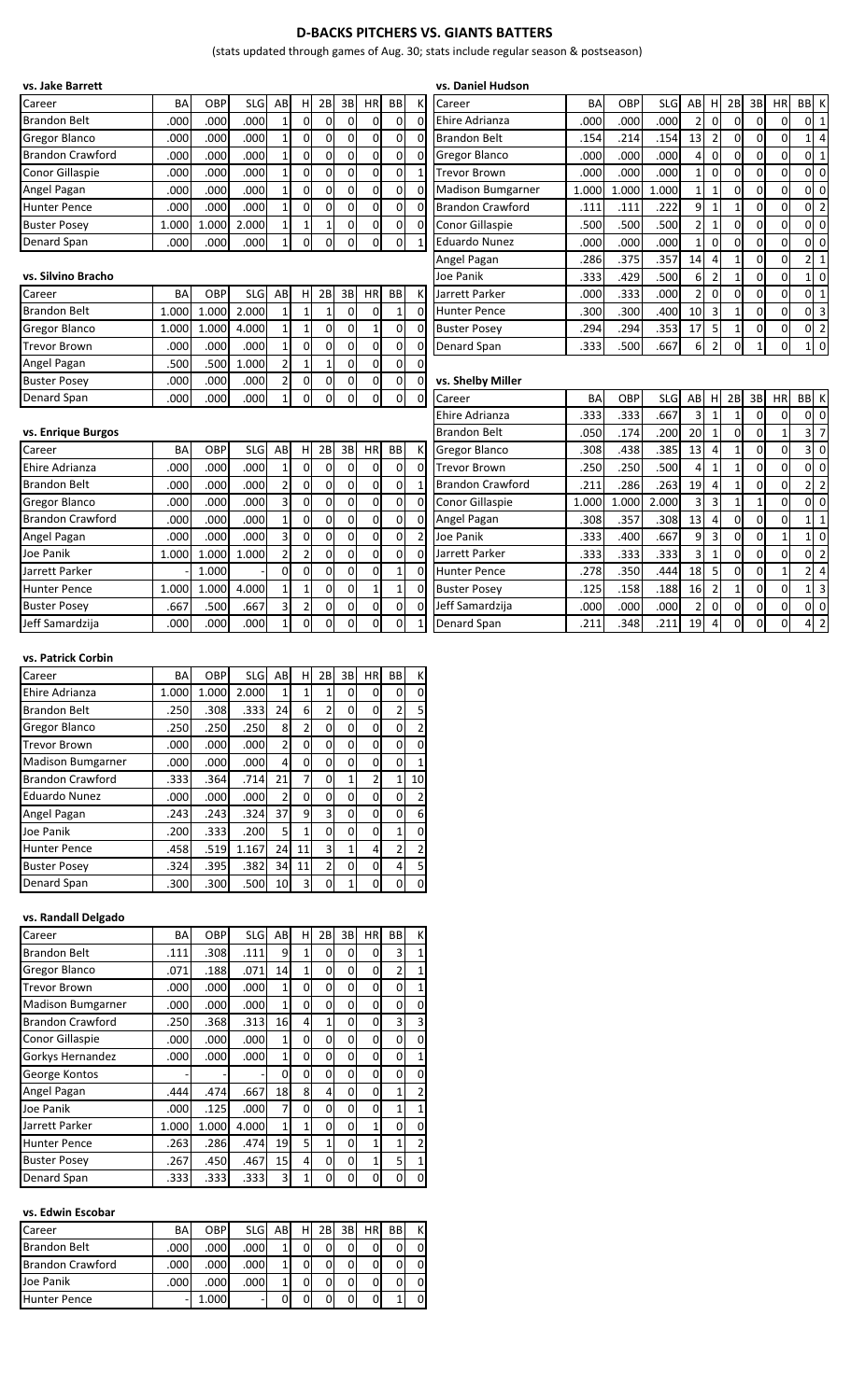## **D-BACKS PITCHERS VS. GIANTS BATTERS**

(stats updated through games of Aug. 30; stats include regular season & postseason)

| vs. Jake Barrett        |           |       |            |                         |                         |                |                |                |                |                | vs. Daniel Hudson        |       |       |            |                         |                         |                |                |                |                                  |
|-------------------------|-----------|-------|------------|-------------------------|-------------------------|----------------|----------------|----------------|----------------|----------------|--------------------------|-------|-------|------------|-------------------------|-------------------------|----------------|----------------|----------------|----------------------------------|
| Career                  | <b>BA</b> | OBP   | <b>SLG</b> | AB                      | Н                       | 2B             | 3B             | HR             | BB             | К              | Career                   | BA    | OBP   | <b>SLG</b> | AB                      | H                       | 2B             | 3B             | <b>HR</b>      | BB K                             |
| <b>Brandon Belt</b>     | .000      | .000  | .000       | $\mathbf{1}$            | $\mathbf 0$             | $\Omega$       | $\Omega$       | $\Omega$       | $\overline{0}$ | $\mathbf 0$    | Ehire Adrianza           | .000  | .000  | .000       | $\overline{2}$          | $\mathbf 0$             | $\Omega$       | $\Omega$       | $\Omega$       | $0 \vert 1$                      |
| <b>Gregor Blanco</b>    | .000      | .000  | .000       | $\mathbf{1}$            | $\mathbf 0$             | 0              | $\mathbf 0$    | $\Omega$       | $\overline{0}$ | $\Omega$       | <b>Brandon Belt</b>      | .154  | .214  | .154       | 13                      | $\overline{2}$          | $\overline{0}$ | $\mathbf{0}$   | 0              | $1 \overline{4}$                 |
| <b>Brandon Crawford</b> | .000      | .000  | .000       | $\mathbf{1}$            | $\overline{0}$          | 0              | $\mathbf 0$    | $\mathbf 0$    | $\overline{0}$ | $\overline{0}$ | <b>Gregor Blanco</b>     | .000  | .000  | .000       | 4                       | $\mathbf 0$             | $\overline{0}$ | $\mathbf 0$    | 0              | 0 <sub>1</sub>                   |
| <b>Conor Gillaspie</b>  | .000      | .000  | .000       | $\mathbf{1}$            | $\mathbf 0$             | $\Omega$       | $\overline{0}$ | $\mathbf 0$    | $\overline{0}$ | $\mathbf{1}$   | <b>Trevor Brown</b>      | .000  | .000  | .000       | $\mathbf{1}$            | $\mathbf 0$             | $\Omega$       | $\mathbf 0$    | $\overline{0}$ | 0 <sub>0</sub>                   |
| Angel Pagan             | .000      | .000  | .000       | $\mathbf{1}$            | 0                       | 0              | $\mathbf 0$    | $\Omega$       | $\overline{0}$ | $\overline{0}$ | <b>Madison Bumgarner</b> | 1.000 | 1.000 | 1.000      | $1\overline{ }$         | $\mathbf{1}$            | $\mathbf{0}$   | $\mathbf{0}$   | 0              | $0\quad0$                        |
| <b>Hunter Pence</b>     | .000      | .000  | .000       | $\mathbf{1}$            | $\mathbf 0$             | $\mathbf 0$    | $\mathbf 0$    | $\Omega$       | $\overline{0}$ | $\overline{0}$ | <b>Brandon Crawford</b>  | .111  | .111  | .222       | 9                       | $\mathbf{1}$            | $\mathbf{1}$   | $\mathbf{0}$   | 0              | $\overline{2}$<br>$\mathbf{0}$   |
| <b>Buster Posey</b>     | 1.000     | 1.000 | 2.000      | $\mathbf{1}$            | $\mathbf{1}$            | $\mathbf{1}$   | $\Omega$       | $\Omega$       | $\overline{0}$ | $\mathbf{0}$   | <b>Conor Gillaspie</b>   | .500  | .500  | .500       | $\overline{2}$          | $\mathbf{1}$            | $\Omega$       | $\mathbf 0$    | $\Omega$       | 0 <sub>0</sub>                   |
| Denard Span             | .000      | .000  | .000       | $\mathbf{1}$            | $\mathbf 0$             | 0              | $\Omega$       | $\overline{0}$ | $\overline{0}$ | $\mathbf{1}$   | <b>Eduardo Nunez</b>     | .000  | .000  | .000       | $\mathbf{1}$            | $\mathbf 0$             | $\mathbf 0$    | $\mathbf 0$    | $\mathbf 0$    | $\pmb{0}$<br>$\overline{0}$      |
|                         |           |       |            |                         |                         |                |                |                |                |                | Angel Pagan              | .286  | .375  | .357       | 14                      | $\overline{4}$          | $\mathbf{1}$   | $\Omega$       | $\overline{0}$ | $2 \mid 1$                       |
| vs. Silvino Bracho      |           |       |            |                         |                         |                |                |                |                |                | Joe Panik                | .333  | .429  | .500       | $6 \overline{6}$        | $\overline{2}$          | $\mathbf{1}$   | $\mathbf 0$    | 0              | $1\vert 0$                       |
| Career                  | <b>BA</b> | OBP   | <b>SLG</b> | AB                      | н                       | 2B             | 3B             | HR             | ВB             | K              | Jarrett Parker           | .000  | .333  | .000       | $\overline{2}$          | $\mathbf 0$             | $\Omega$       | $\mathbf{0}$   | 0              | $\mathbf{1}$<br>$\overline{0}$   |
| <b>Brandon Belt</b>     | 1.000     | 1.000 | 2.000      | $\mathbf{1}$            | $\mathbf{1}$            | 1              | $\Omega$       | 0              | $1\vert$       | $\mathbf{0}$   | <b>Hunter Pence</b>      | .300  | .300  | .400       | 10                      | $\overline{\mathbf{3}}$ | $\mathbf{1}$   | $\mathbf 0$    | $\mathbf 0$    | 0 <sup>3</sup>                   |
| <b>Gregor Blanco</b>    | 1.000     | 1.000 | 4.000      | $\mathbf{1}$            | $\mathbf{1}$            | 0              | $\mathbf 0$    | $\mathbf{1}$   | $\mathbf 0$    | $\overline{0}$ | <b>Buster Posey</b>      | .294  | .294  | .353       | 17                      | 5                       | $\mathbf{1}$   | $\mathbf 0$    | 0              | 0 <sub>2</sub>                   |
| <b>Trevor Brown</b>     | .000      | .000  | .000       | $\mathbf{1}$            | $\mathbf 0$             | $\mathbf 0$    | $\mathbf 0$    | $\mathbf 0$    | $\Omega$       | $\Omega$       | Denard Span              | .333  | .500  | .667       | 6                       | $\overline{2}$          | $\Omega$       | $\mathbf{1}$   | $\Omega$       | $1\overline{0}$                  |
| Angel Pagan             | .500      | .500  | 1.000      | $\overline{2}$          | $\mathbf{1}$            | $\overline{1}$ | $\mathbf 0$    | $\overline{0}$ | $\mathbf 0$    | $\mathbf{0}$   |                          |       |       |            |                         |                         |                |                |                |                                  |
| <b>Buster Posey</b>     | .000      | .000  | .000       | $\overline{2}$          | 0                       | $\mathbf 0$    | 0              | $\overline{0}$ | $\mathbf 0$    | $\overline{0}$ | vs. Shelby Miller        |       |       |            |                         |                         |                |                |                |                                  |
| Denard Span             | .000      | .000  | .000       | 1                       | $\mathbf 0$             | 0              | $\Omega$       | $\overline{0}$ | $\overline{0}$ | $\mathbf{0}$   | Career                   | BA    | OBP   | <b>SLG</b> | AB                      | Н                       | 2B             | 3B             | HR             | BB K                             |
|                         |           |       |            |                         |                         |                |                |                |                |                | Ehire Adrianza           | .333  | .333  | .667       | $\overline{\mathbf{3}}$ | $\mathbf{1}$            | $\mathbf{1}$   | $\mathbf{0}$   | $\mathbf 0$    | $\overline{0}$                   |
| vs. Enrique Burgos      |           |       |            |                         |                         |                |                |                |                |                | <b>Brandon Belt</b>      | .050  | .174  | .200       | 20                      | $\mathbf{1}$            | $\overline{0}$ | $\mathbf 0$    | $\mathbf{1}$   | 3 <sup>7</sup>                   |
| Career                  | BA        | OBP   | SLG        | AB                      | H                       | 2B             | 3B             | HR             | <b>BB</b>      | К              | <b>Gregor Blanco</b>     | .308  | .438  | .385       | 13                      | $\overline{4}$          | $\mathbf{1}$   | $\overline{0}$ | 0              | 30                               |
| Ehire Adrianza          | .000      | .000  | .000       | $\mathbf{1}$            | 0                       | $\mathbf 0$    | $\mathbf 0$    | 0              | $\mathbf 0$    | $\mathbf{0}$   | <b>Trevor Brown</b>      | .250  | .250  | .500       | 4                       | $\mathbf{1}$            | $\mathbf{1}$   | $\mathbf{0}$   | 0              | $\pmb{0}$<br>$\overline{0}$      |
| <b>Brandon Belt</b>     | .000      | .000  | .000       | $\overline{\mathbf{c}}$ | $\mathbf 0$             | 0              | $\mathbf 0$    | $\overline{0}$ | $\overline{0}$ | 1              | <b>Brandon Crawford</b>  | .211  | 286   | .263       | 19                      | $\overline{4}$          | 1              | $\Omega$       | $\mathbf 0$    | $\overline{2}$<br>$\overline{2}$ |
| <b>Gregor Blanco</b>    | .000      | .000  | .000       | 3                       | $\mathbf 0$             | 0              | $\mathbf 0$    | $\Omega$       | $\overline{0}$ | $\overline{0}$ | Conor Gillaspie          | 1.000 | 1.000 | 2.000      | $\overline{3}$          | $\overline{3}$          | $\mathbf{1}$   | $\mathbf{1}$   | 0              | 0 <sub>0</sub>                   |
| <b>Brandon Crawford</b> | .000      | .000  | .000       | $\overline{1}$          | $\mathbf 0$             | $\mathbf 0$    | $\mathbf 0$    | $\overline{0}$ | $\overline{0}$ | $\overline{0}$ | Angel Pagan              | .308  | .357  | .308       | 13                      | $\overline{4}$          | $\overline{0}$ | $\mathbf 0$    | $\overline{0}$ | $\mathbf{1}$<br>1 <sup>1</sup>   |
| Angel Pagan             | .000      | .000  | .000       | 3                       | $\mathbf 0$             | $\Omega$       | $\Omega$       | $\Omega$       | $\mathbf 0$    | $\overline{2}$ | Joe Panik                | .333  | .400  | .667       | 9                       | $\overline{\mathbf{3}}$ | $\Omega$       | $\Omega$       | $\mathbf{1}$   | $1\vert 0$                       |
| Joe Panik               | 1.000     | 1.000 | 1.000      | 2                       | $\overline{\mathbf{c}}$ | 0              | $\mathbf 0$    | $\overline{0}$ | $\overline{0}$ | $\mathbf 0$    | Jarrett Parker           | .333  | .333  | .333       | $\overline{\mathbf{3}}$ | $1\,$                   | $\overline{0}$ | 0              | 0              | 0 <sub>2</sub>                   |
| Jarrett Parker          |           | 1.000 |            | $\mathbf 0$             | $\mathbf 0$             | $\mathbf 0$    | $\mathbf 0$    | $\Omega$       | $\mathbf{1}$   | $\overline{0}$ | <b>Hunter Pence</b>      | .278  | .350  | .444       | 18                      | 5                       | $\mathbf{0}$   | $\overline{0}$ | $\mathbf{1}$   | $\overline{4}$<br>$\overline{2}$ |
| <b>Hunter Pence</b>     | 1.000     | 1.000 | 4.000      | $\mathbf{1}$            | $\mathbf{1}$            | 0              | $\mathbf 0$    | 1              | $1\vert$       | $\overline{0}$ | <b>Buster Posey</b>      | .125  | .158  | .188       | 16                      | $\overline{2}$          | $\mathbf{1}$   | $\mathbf{0}$   | 0              | $1 \overline{\smash{\big)}\ 3}$  |
| <b>Buster Posey</b>     | .667      | .500  | .667       | 3                       | $\overline{\mathbf{c}}$ | $\mathbf 0$    | $\mathbf 0$    | $\mathbf 0$    | $\pmb{0}$      | $\Omega$       | Jeff Samardzija          | .000  | .000  | .000       | $\overline{2}$          | $\mathbf 0$             | $\overline{0}$ | $\pmb{0}$      | 0              | $0\quad0$                        |
|                         | .000      | .000  | .000       | $\mathbf{1}$            | $\mathbf 0$             | 0              | $\Omega$       | $\Omega$       | $\overline{0}$ |                | Denard Span              | .211  | .348  | .211       | 19                      | $\overline{4}$          | $\Omega$       | $\Omega$       | $\Omega$       | 4 <sup>2</sup>                   |

| Career                   | BA    | OBP   | <b>SLG</b> | AB             | н        | 2B             | 3B           | <b>HR</b> | BB             | К              |
|--------------------------|-------|-------|------------|----------------|----------|----------------|--------------|-----------|----------------|----------------|
| Ehire Adrianza           | 1.000 | 1.000 | 2.000      | $\mathbf{1}$   | 1        | 1              | 0            |           | 0              | 0              |
| <b>Brandon Belt</b>      | .250  | .308  | .333       | 24             | 6        | 2              | 0            | 0         | 2              | 5              |
| <b>Gregor Blanco</b>     | .250  | .250  | .250       | 8              | 2        | $\Omega$       | 0            | 0         | 0              | $\overline{2}$ |
| <b>Trevor Brown</b>      | .000  | .000  | .000       | $\overline{2}$ | 0        | 0              | 0            | 0         | 0              | 0              |
| <b>Madison Bumgarner</b> | .000  | .000  | .000       | 4              | $\Omega$ | $\Omega$       | 0            | 0         | 0              | 1              |
| <b>Brandon Crawford</b>  | .333  | .364  | .714       | 21             | 7        | $\Omega$       | 1            | 2         | $\mathbf{1}$   | 10             |
| <b>Eduardo Nunez</b>     | .000  | .000  | .000       | $\overline{2}$ | 0        | $\Omega$       | $\Omega$     | 0         | 0              | 2              |
| Angel Pagan              | .243  | .243  | .324       | 37             | 9        | 3              | 0            | 0         | 0              | 6              |
| Joe Panik                | .200  | .333  | .200       | 5              | 1        | 0              | 0            | 0         | $\mathbf{1}$   | 0              |
| <b>Hunter Pence</b>      | .458  | .519  | 1.167      | 24             | 11       | 3              | $\mathbf{1}$ | 4         | $\overline{2}$ | 2              |
| <b>Buster Posey</b>      | .324  | .395  | .382       | 34             | 11       | $\overline{2}$ | 0            | 0         | 4              | 5              |
| Denard Span              | .300  | .300  | .500       | 10             | 3        | 0              | 1            |           |                |                |

## **vs. Randall Delgado**

| Career                  | BA    | <b>OBP</b> | <b>SLG</b> | AB | H              | 2В | 3B | HR           | ВB | К              |
|-------------------------|-------|------------|------------|----|----------------|----|----|--------------|----|----------------|
| <b>Brandon Belt</b>     | .111  | .308       | .111       | 9  | 1              | 0  | 0  | 0            | 3  | 1              |
| <b>Gregor Blanco</b>    | .071  | .188       | .071       | 14 | 1              | 0  | 0  | 0            | 2  | 1              |
| <b>Trevor Brown</b>     | .000  | .000       | .000       | 1  | 0              | 0  | 0  | 0            | 0  | $\mathbf{1}$   |
| Madison Bumgarner       | .000  | .000       | .000       | 1  | 0              | 0  | 0  | 0            | 0  | 0              |
| <b>Brandon Crawford</b> | .250  | .368       | .313       | 16 | 4              | 1  | 0  | 0            | 3  | 3              |
| Conor Gillaspie         | .000  | .000       | .000       | 1  | $\Omega$       | 0  | 0  | 0            | 0  | 0              |
| Gorkys Hernandez        | .000  | .000       | .000       | 1  | 0              | 0  | 0  | 0            | 0  | 1              |
| George Kontos           |       |            |            | 0  | 0              | 0  | 0  | 0            | 0  | $\mathbf 0$    |
| Angel Pagan             | .444  | .474       | .667       | 18 | 8              | 4  | 0  | 0            | 1  | $\overline{2}$ |
| Joe Panik               | .000  | .125       | .000       | 7  | 0              | 0  | 0  | 0            | 1  | 1              |
| Jarrett Parker          | 1.000 | 1.000      | 4.000      | 1  | 1              | 0  | 0  | 1            | 0  | $\mathbf 0$    |
| <b>Hunter Pence</b>     | .263  | .286       | .474       | 19 | 5              | 1  | 0  | $\mathbf{1}$ | 1  | $\overline{2}$ |
| <b>Buster Posey</b>     | .267  | .450       | .467       | 15 | $\overline{4}$ | 0  | 0  | 1            | 5  | 1              |
| Denard Span             | .333  | .333       | .333       | 3  | 1              | 0  | 0  | 0            | 0  | 0              |

## **vs. Edwin Escobar**

| Career                  | BA                | <b>OBP</b>        | <b>SLG</b>        | AB | H | 2B | 3B | HR | <b>BB</b> | K              |
|-------------------------|-------------------|-------------------|-------------------|----|---|----|----|----|-----------|----------------|
| <b>Brandon Belt</b>     | .000 <sub>1</sub> | .000              | .000 <sub>1</sub> |    |   |    |    |    |           | $\overline{0}$ |
| <b>Brandon Crawford</b> | .000 <sub>1</sub> | .000 <sub>1</sub> | .000              |    |   |    |    | 0  |           | 0              |
| Joe Panik               | .000 <sub>1</sub> | .000              | .000 <sub>1</sub> |    |   |    |    | 0  |           | $\overline{0}$ |
| Hunter Pence            |                   |                   |                   |    |   |    |    | 0  |           | 0              |